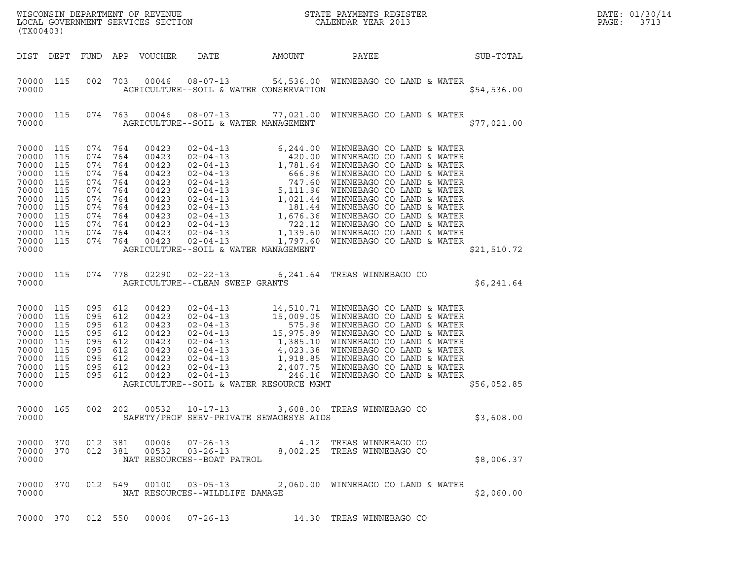| (TX00403)                                                                                                                     |                                                             |                                                                                              |                                                             | LOCAL GOVERNMENT SERVICES SECTION                                                                        |                                                                |        | ${\tt WISCONSIM} \begin{tabular}{l} DEPARTMENT OF REVIEW \\ LOCAL BONERNMENT SERVICES SECTION \\ \end{tabular}$                                                                                                                                   |             | DATE: 01/30/14<br>$\mathtt{PAGE:}$<br>3713 |
|-------------------------------------------------------------------------------------------------------------------------------|-------------------------------------------------------------|----------------------------------------------------------------------------------------------|-------------------------------------------------------------|----------------------------------------------------------------------------------------------------------|----------------------------------------------------------------|--------|---------------------------------------------------------------------------------------------------------------------------------------------------------------------------------------------------------------------------------------------------|-------------|--------------------------------------------|
| DIST DEPT                                                                                                                     |                                                             |                                                                                              |                                                             | FUND APP VOUCHER                                                                                         | DATE                                                           | AMOUNT | PAYEE                                                                                                                                                                                                                                             | SUB-TOTAL   |                                            |
| 70000 115<br>70000                                                                                                            |                                                             | 002                                                                                          |                                                             |                                                                                                          | AGRICULTURE--SOIL & WATER CONSERVATION                         |        | 703  00046  08-07-13  54,536.00  WINNEBAGO CO LAND & WATER                                                                                                                                                                                        | \$54,536.00 |                                            |
| 70000 115<br>70000                                                                                                            |                                                             |                                                                                              |                                                             |                                                                                                          | AGRICULTURE--SOIL & WATER MANAGEMENT                           |        | 074 763 00046 08-07-13 77,021.00 WINNEBAGO CO LAND & WATER                                                                                                                                                                                        | \$77,021.00 |                                            |
| 70000 115<br>70000<br>70000<br>70000<br>70000<br>70000<br>70000<br>70000<br>70000<br>70000<br>70000 115<br>70000 115<br>70000 | 115<br>115<br>115<br>115<br>115<br>115<br>115<br>115<br>115 | 074 764<br>074<br>074<br>074<br>074<br>074<br>074<br>074<br>074<br>074<br>074 764<br>074 764 | 764<br>764<br>764<br>764<br>764<br>764<br>764<br>764<br>764 | 00423<br>00423<br>00423<br>00423<br>00423<br>00423<br>00423<br>00423<br>00423<br>00423<br>00423<br>00423 | $02 - 04 - 13$<br>AGRICULTURE--SOIL & WATER MANAGEMENT         |        | 1,797.60 WINNEBAGO CO LAND & WATER                                                                                                                                                                                                                | \$21,510.72 |                                            |
| 70000 115<br>70000                                                                                                            |                                                             | 074 778                                                                                      |                                                             | 02290                                                                                                    | $02 - 22 - 13$<br>AGRICULTURE--CLEAN SWEEP GRANTS              |        | 6,241.64 TREAS WINNEBAGO CO                                                                                                                                                                                                                       | \$6,241.64  |                                            |
| 70000<br>70000<br>70000<br>70000<br>70000<br>70000<br>70000<br>70000<br>70000<br>70000                                        | 115<br>115<br>115<br>115<br>115<br>115<br>115<br>115<br>115 | 095<br>095<br>095<br>095<br>095<br>095<br>095<br>095<br>095 612                              | 612<br>612<br>612<br>612<br>612<br>612<br>612<br>612        | 00423<br>00423<br>00423<br>00423<br>00423<br>00423<br>00423<br>00423<br>00423                            | AGRICULTURE--SOIL & WATER RESOURCE MGMT                        |        | 02-04-13<br>02-04-13<br>15,009.05 WINNEBAGO CO LAND & WATER<br>02-04-13<br>15,909.05 WINNEBAGO CO LAND & WATER<br>02-04-13<br>15,975.89 WINNEBAGO CO LAND & WATER<br>02-04-13<br>1,385.10 WINNEBAGO CO LAND & WATER<br>02-04-13<br>4,023.38 WINNE | \$56,052.85 |                                            |
| 70000 165<br>70000                                                                                                            |                                                             | 002 202                                                                                      |                                                             |                                                                                                          | SAFETY/PROF SERV-PRIVATE SEWAGESYS AIDS                        |        | 00532  10-17-13  3,608.00  TREAS WINNEBAGO CO                                                                                                                                                                                                     | \$3,608.00  |                                            |
| 70000 370<br>70000 370<br>70000                                                                                               |                                                             | 012 381<br>012 381                                                                           |                                                             | 00006<br>00532                                                                                           | $07 - 26 - 13$<br>$03 - 26 - 13$<br>NAT RESOURCES--BOAT PATROL |        | 4.12 TREAS WINNEBAGO CO<br>8,002.25 TREAS WINNEBAGO CO                                                                                                                                                                                            | \$8,006.37  |                                            |
| 70000 370<br>70000                                                                                                            |                                                             |                                                                                              | 012 549                                                     | 00100                                                                                                    | $03 - 05 - 13$<br>NAT RESOURCES--WILDLIFE DAMAGE               |        | 2,060.00 WINNEBAGO CO LAND & WATER                                                                                                                                                                                                                | \$2,060.00  |                                            |
| 70000 370                                                                                                                     |                                                             | 012 550                                                                                      |                                                             | 00006                                                                                                    | $07 - 26 - 13$                                                 |        | 14.30 TREAS WINNEBAGO CO                                                                                                                                                                                                                          |             |                                            |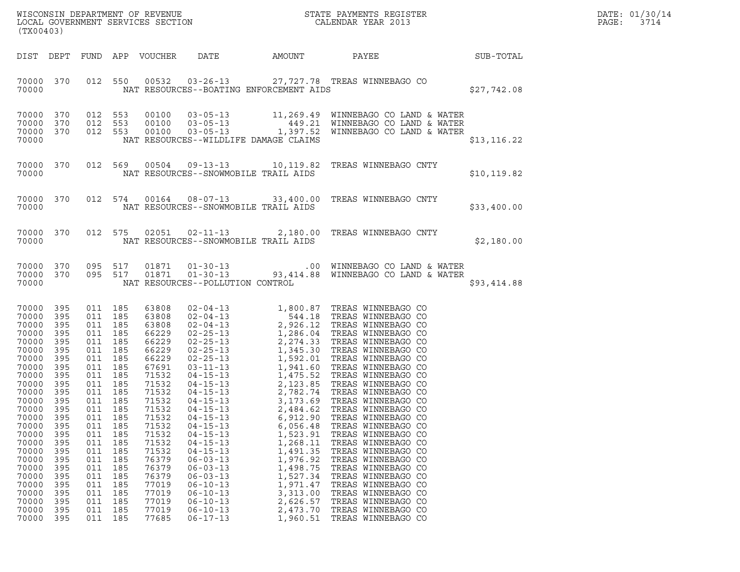| DATE: | 01/30/14 |
|-------|----------|
| PAGE: | 3714     |

| (TX00403)                                                                                                                                                                                                                                      |                                                                                                                                                                        |                                                                                                                                                                                                                                    |                                                                                                |                                                                                                                                                                                                                                        |                                                                                                                                                                                                                                                                            |                                                                                                                                                                      | WISCONSIN DEPARTMENT OF REVENUE<br>LOCAL GOVERNMENT SERVICES SECTION<br>(TWAR 1801)                                                                                                                                                                                                                                                             |              | DATE: 01/30/14<br>PAGE:<br>3714 |
|------------------------------------------------------------------------------------------------------------------------------------------------------------------------------------------------------------------------------------------------|------------------------------------------------------------------------------------------------------------------------------------------------------------------------|------------------------------------------------------------------------------------------------------------------------------------------------------------------------------------------------------------------------------------|------------------------------------------------------------------------------------------------|----------------------------------------------------------------------------------------------------------------------------------------------------------------------------------------------------------------------------------------|----------------------------------------------------------------------------------------------------------------------------------------------------------------------------------------------------------------------------------------------------------------------------|----------------------------------------------------------------------------------------------------------------------------------------------------------------------|-------------------------------------------------------------------------------------------------------------------------------------------------------------------------------------------------------------------------------------------------------------------------------------------------------------------------------------------------|--------------|---------------------------------|
| DIST DEPT                                                                                                                                                                                                                                      |                                                                                                                                                                        |                                                                                                                                                                                                                                    |                                                                                                | FUND APP VOUCHER                                                                                                                                                                                                                       | DATE                                                                                                                                                                                                                                                                       | AMOUNT                                                                                                                                                               | PAYEE<br>SUB-TOTAL                                                                                                                                                                                                                                                                                                                              |              |                                 |
| 70000 370<br>70000                                                                                                                                                                                                                             |                                                                                                                                                                        |                                                                                                                                                                                                                                    |                                                                                                |                                                                                                                                                                                                                                        | NAT RESOURCES--BOATING ENFORCEMENT AIDS                                                                                                                                                                                                                                    |                                                                                                                                                                      | 012 550 00532 03-26-13 27,727.78 TREAS WINNEBAGO CO                                                                                                                                                                                                                                                                                             | \$27,742.08  |                                 |
| 70000 370<br>70000<br>70000<br>70000                                                                                                                                                                                                           | 370<br>370                                                                                                                                                             | 012 553<br>012 553<br>012 553                                                                                                                                                                                                      |                                                                                                | 00100<br>00100<br>00100                                                                                                                                                                                                                | NAT RESOURCES--WILDLIFE DAMAGE CLAIMS                                                                                                                                                                                                                                      |                                                                                                                                                                      | 03-05-13 11,269.49 WINNEBAGO CO LAND & WATER<br>03-05-13 449.21 WINNEBAGO CO LAND & WATER<br>03-05-13 1,397.52 WINNEBAGO CO LAND & WATER                                                                                                                                                                                                        | \$13, 116.22 |                                 |
| 70000 370<br>70000                                                                                                                                                                                                                             |                                                                                                                                                                        |                                                                                                                                                                                                                                    |                                                                                                |                                                                                                                                                                                                                                        | NAT RESOURCES--SNOWMOBILE TRAIL AIDS                                                                                                                                                                                                                                       |                                                                                                                                                                      | 012 569 00504 09-13-13 10,119.82 TREAS WINNEBAGO CNTY                                                                                                                                                                                                                                                                                           | \$10, 119.82 |                                 |
| 70000 370<br>70000                                                                                                                                                                                                                             |                                                                                                                                                                        |                                                                                                                                                                                                                                    |                                                                                                |                                                                                                                                                                                                                                        | NAT RESOURCES--SNOWMOBILE TRAIL AIDS                                                                                                                                                                                                                                       |                                                                                                                                                                      | 012 574 00164 08-07-13 33,400.00 TREAS WINNEBAGO CNTY                                                                                                                                                                                                                                                                                           | \$33,400.00  |                                 |
| 70000 370<br>70000                                                                                                                                                                                                                             |                                                                                                                                                                        |                                                                                                                                                                                                                                    |                                                                                                |                                                                                                                                                                                                                                        | NAT RESOURCES--SNOWMOBILE TRAIL AIDS                                                                                                                                                                                                                                       |                                                                                                                                                                      | 012 575 02051 02-11-13 2,180.00 TREAS WINNEBAGO CNTY                                                                                                                                                                                                                                                                                            | \$2,180.00   |                                 |
| 70000 370<br>70000 370<br>70000                                                                                                                                                                                                                |                                                                                                                                                                        | 095 517<br>095 517                                                                                                                                                                                                                 |                                                                                                | 01871<br>01871                                                                                                                                                                                                                         | NAT RESOURCES--POLLUTION CONTROL                                                                                                                                                                                                                                           |                                                                                                                                                                      | 01-30-13 00 WINNEBAGO CO LAND & WATER<br>01-30-13 03,414.88 WINNEBAGO CO LAND & WATER                                                                                                                                                                                                                                                           | \$93,414.88  |                                 |
| 70000 395<br>70000<br>70000<br>70000<br>70000<br>70000<br>70000<br>70000<br>70000<br>70000<br>70000<br>70000 395<br>70000<br>70000<br>70000<br>70000<br>70000<br>70000<br>70000<br>70000<br>70000<br>70000<br>70000<br>70000<br>70000<br>70000 | 395<br>395<br>395<br>395<br>395<br>395<br>395<br>395<br>395<br>- 395<br>395<br>395<br>395<br>395<br>395<br>395<br>395<br>395<br>395<br>395<br>395<br>395<br>395<br>395 | 011 185<br>011 185<br>011 185<br>011 185<br>011 185<br>011 185<br>011 185<br>011 185<br>011 185<br>011 185<br>011 185<br>011 185<br>011<br>011<br>011<br>011<br>011<br>011<br>011<br>011<br>011<br>011<br>011<br>011<br>011<br>011 | 185<br>185<br>185<br>185<br>185<br>185<br>185<br>185<br>185<br>185<br>185<br>185<br>185<br>185 | 63808<br>63808<br>63808<br>66229<br>66229<br>66229<br>66229<br>67691<br>71532<br>71532<br>71532<br>71532<br>71532<br>71532<br>71532<br>71532<br>71532<br>71532<br>76379<br>76379<br>76379<br>77019<br>77019<br>77019<br>77019<br>77685 | $04 - 15 - 13$<br>$04 - 15 - 13$<br>$04 - 15 - 13$<br>$04 - 15 - 13$<br>$04 - 15 - 13$<br>$04 - 15 - 13$<br>$04 - 15 - 13$<br>$06 - 03 - 13$<br>$06 - 03 - 13$<br>$06 - 03 - 13$<br>$06 - 10 - 13$<br>$06 - 10 - 13$<br>$06 - 10 - 13$<br>$06 - 10 - 13$<br>$06 - 17 - 13$ | 2,484.62<br>6,912.90<br>6,056.48<br>1,523.91<br>1,268.11<br>1,491.35<br>1,976.92<br>1,498.75<br>1,527.34<br>1,971.47<br>3,313.00<br>2,626.57<br>2,473.70<br>1,960.51 | 3,173.69 TREAS WINNEBAGO CO<br>TREAS WINNEBAGO CO<br>TREAS WINNEBAGO CO<br>TREAS WINNEBAGO CO<br>TREAS WINNEBAGO CO<br>TREAS WINNEBAGO CO<br>TREAS WINNEBAGO CO<br>TREAS WINNEBAGO CO<br>TREAS WINNEBAGO CO<br>TREAS WINNEBAGO CO<br>TREAS WINNEBAGO CO<br>TREAS WINNEBAGO CO<br>TREAS WINNEBAGO CO<br>TREAS WINNEBAGO CO<br>TREAS WINNEBAGO CO |              |                                 |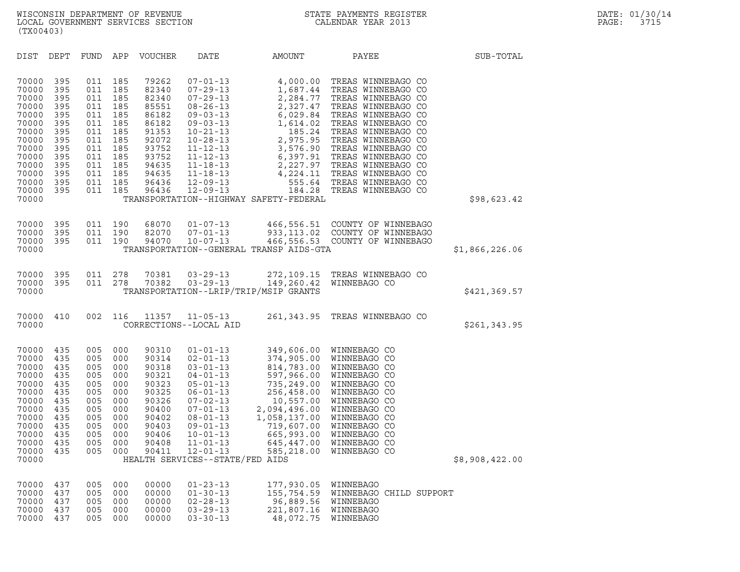| (TX00403)                                                                                                                                                                                                                             |                                                                                                                                                                                                  |                                                                                                                                                                                                                                                                                                                                                                                                                                  |                                                                                          |                                                                                                                                                                                                                                                                                                                                                                      |                |
|---------------------------------------------------------------------------------------------------------------------------------------------------------------------------------------------------------------------------------------|--------------------------------------------------------------------------------------------------------------------------------------------------------------------------------------------------|----------------------------------------------------------------------------------------------------------------------------------------------------------------------------------------------------------------------------------------------------------------------------------------------------------------------------------------------------------------------------------------------------------------------------------|------------------------------------------------------------------------------------------|----------------------------------------------------------------------------------------------------------------------------------------------------------------------------------------------------------------------------------------------------------------------------------------------------------------------------------------------------------------------|----------------|
| DIST<br>DEPT                                                                                                                                                                                                                          | FUND<br>APP                                                                                                                                                                                      | <b>VOUCHER</b><br>DATE                                                                                                                                                                                                                                                                                                                                                                                                           | AMOUNT                                                                                   | PAYEE                                                                                                                                                                                                                                                                                                                                                                | SUB-TOTAL      |
| 70000<br>395<br>70000<br>395<br>70000<br>395<br>70000<br>395<br>70000<br>395<br>70000<br>395<br>70000<br>395<br>70000<br>395<br>70000<br>395<br>70000<br>395<br>70000<br>395<br>70000<br>395<br>70000<br>395<br>70000<br>395<br>70000 | 011<br>185<br>011<br>185<br>011<br>185<br>011<br>185<br>011<br>185<br>011<br>185<br>011<br>185<br>011<br>185<br>011<br>185<br>011<br>185<br>011<br>185<br>011<br>185<br>011<br>185<br>011<br>185 | 79262<br>$07 - 01 - 13$<br>82340<br>$07 - 29 - 13$<br>82340<br>$07 - 29 - 13$<br>85551<br>$08 - 26 - 13$<br>86182<br>$09 - 03 - 13$<br>86182<br>$09 - 03 - 13$<br>91353<br>$10 - 21 - 13$<br>92072<br>$10 - 28 - 13$<br>93752<br>$11 - 12 - 13$<br>93752<br>$11 - 12 - 13$<br>94635<br>$11 - 18 - 13$<br>94635<br>$11 - 18 - 13$<br>96436<br>$12 - 09 - 13$<br>96436<br>$12 - 09 - 13$<br>TRANSPORTATION--HIGHWAY SAFETY-FEDERAL | 4,000.00<br>1,687.44<br>2,284.77<br>2,327.47<br>6,029.84<br>1,614.02<br>185.24<br>184.28 | TREAS WINNEBAGO CO<br>TREAS WINNEBAGO CO<br>TREAS WINNEBAGO CO<br>TREAS WINNEBAGO CO<br>TREAS WINNEBAGO CO<br>TREAS WINNEBAGO CO<br>TREAS WINNEBAGO CO<br>2,975.95 TREAS WINNEBAGO CO<br>3,576.90 TREAS WINNEBAGO CO<br>6,397.91 TREAS WINNEBAGO CO<br>2,227.97 TREAS WINNEBAGO CO<br>4,224.11 TREAS WINNEBAGO CO<br>555.64 TREAS WINNEBAGO CO<br>TREAS WINNEBAGO CO | \$98,623.42    |
|                                                                                                                                                                                                                                       |                                                                                                                                                                                                  |                                                                                                                                                                                                                                                                                                                                                                                                                                  |                                                                                          |                                                                                                                                                                                                                                                                                                                                                                      |                |
| 70000<br>395<br>70000<br>395<br>70000<br>395<br>70000                                                                                                                                                                                 | 011<br>190<br>011<br>190<br>011<br>190                                                                                                                                                           | 68070<br>$01 - 07 - 13$<br>82070<br>$07 - 01 - 13$<br>94070<br>$10 - 07 - 13$<br>TRANSPORTATION--GENERAL TRANSP AIDS-GTA                                                                                                                                                                                                                                                                                                         |                                                                                          | 466,556.51 COUNTY OF WINNEBAGO<br>933, 113.02 COUNTY OF WINNEBAGO<br>466,556.53 COUNTY OF WINNEBAGO                                                                                                                                                                                                                                                                  | \$1,866,226.06 |
| 70000<br>395<br>395<br>70000<br>70000                                                                                                                                                                                                 | 011<br>278<br>278<br>011                                                                                                                                                                         | 70381<br>$03 - 29 - 13$<br>70382<br>$03 - 29 - 13$<br>TRANSPORTATION--LRIP/TRIP/MSIP GRANTS                                                                                                                                                                                                                                                                                                                                      | 149,260.42                                                                               | 272,109.15 TREAS WINNEBAGO CO<br>WINNEBAGO CO                                                                                                                                                                                                                                                                                                                        | \$421,369.57   |
| 70000<br>410<br>70000                                                                                                                                                                                                                 | 002<br>116                                                                                                                                                                                       | 11357<br>$11 - 05 - 13$<br>CORRECTIONS--LOCAL AID                                                                                                                                                                                                                                                                                                                                                                                | 261, 343.95                                                                              | TREAS WINNEBAGO CO                                                                                                                                                                                                                                                                                                                                                   | \$261,343.95   |
| 70000<br>435<br>70000<br>435<br>70000<br>435<br>70000<br>435<br>70000<br>435<br>70000<br>435<br>70000<br>435<br>70000<br>435<br>70000<br>435<br>70000<br>435<br>70000<br>435<br>70000<br>435<br>70000<br>435<br>70000                 | 005<br>000<br>005<br>000<br>005<br>000<br>005<br>000<br>005<br>000<br>005<br>000<br>005<br>000<br>005<br>000<br>005<br>000<br>005<br>000<br>005<br>000<br>005<br>000<br>005<br>000               | 90310<br>$01 - 01 - 13$<br>90314<br>$02 - 01 - 13$<br>90318<br>$03 - 01 - 13$<br>90321<br>$04 - 01 - 13$<br>90323<br>$05 - 01 - 13$<br>90325<br>$06 - 01 - 13$<br>90326<br>$07 - 02 - 13$<br>90400<br>$07 - 01 - 13$<br>90402<br>$08 - 01 - 13$<br>90403<br>$09 - 01 - 13$<br>90406<br>$10 - 01 - 13$<br>90408<br>$11 - 01 - 13$<br>90411<br>$12 - 01 - 13$<br>HEALTH SERVICES--STATE/FED AIDS                                   | 597,966.00<br>665,993.00<br>645,447.00<br>585,218.00                                     | 349,606.00 WINNEBAGO CO<br>374,905.00 WINNEBAGO CO<br>814,783.00 WINNEBAGO CO<br>WINNEBAGO CO<br>735,249.00 WINNEBAGO CO<br>256,458.00 WINNEBAGO CO<br>10,557.00 WINNEBAGO CO<br>2,094,496.00 WINNEBAGO CO<br>1,058,137.00 WINNEBAGO CO<br>719,607.00 WINNEBAGO CO<br>WINNEBAGO CO<br>WINNEBAGO CO<br>WINNEBAGO CO                                                   | \$8,908,422.00 |
| 70000<br>437<br>70000<br>437<br>70000<br>437<br>70000<br>437<br>70000<br>437                                                                                                                                                          | 005<br>000<br>005<br>000<br>005<br>000<br>005<br>000<br>005<br>000                                                                                                                               | 00000<br>$01 - 23 - 13$<br>00000<br>$01 - 30 - 13$<br>00000<br>$02 - 28 - 13$<br>00000<br>$03 - 29 - 13$<br>00000<br>$03 - 30 - 13$                                                                                                                                                                                                                                                                                              | 177,930.05<br>155,754.59<br>96,889.56<br>221,807.16<br>48,072.75                         | WINNEBAGO<br>WINNEBAGO CHILD SUPPORT<br>WINNEBAGO<br>WINNEBAGO<br>WINNEBAGO                                                                                                                                                                                                                                                                                          |                |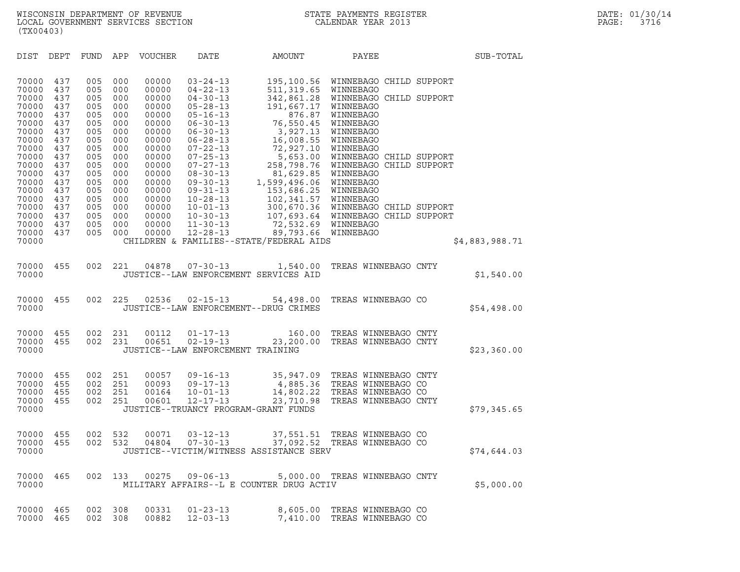DIST DEPT FUND APP VOUCHER DATE AMOUNT PAYEE PATE SUB-TOTAL 70000 437 005 000 00000 03-24-13 195,100.56 WINNEBAGO CHILD SUPPORT 70000 437 005 000 00000 03-24-13 195,100.56 WINNEBAGOCH:<br>70000 437 005 000 00000 04-22-13 511,319.65 WINNEBAGO<br>70000 437 005 000 00000 04-30-13 342,861.28 WINNEBAGOCH: 70000 437 005 000 00000 03-24-13 195,100.56 WINNEBAGO CHILD SUPPORT<br>70000 437 005 000 00000 04-22-13 511,319.65 WINNEBAGO<br>70000 437 005 000 00000 04-30-13 342,861.28 WINNEBAGO CHILD SUPPORT<br>70000 437 005 000 00000 05-28-13 70000 437 005 000 00000 03-24-13 195,100.56 WINNEBAGOCH:<br>70000 437 005 000 00000 04-22-13 511,319.65 WINNEBAGOCH:<br>70000 437 005 000 00000 04-30-13 342,861.28 WINNEBAGOCH:<br>70000 437 005 000 00000 05-28-13 191,667.17 WINNEBA 70000 437 005 000 00000 04-22-13 511,319.65 WINNEBAGO<br>70000 437 005 000 00000 04-30-13 342,861.28 WINNEBAGO CH:<br>70000 437 005 000 00000 05-26-13 191,667.17 WINNEBAGO<br>70000 437 005 000 00000 06-30-13 76,550.45 WINNEBAGO 70000 437 005 000 00000 04-30-13 342,861.28 WINNEBAGO CH:<br>70000 437 005 000 00000 05-28-13 191,667.17 WINNEBAGO<br>70000 437 005 000 00000 05-16-13 876.87 WINNEBAGO<br>70000 437 005 000 00000 06-30-13 76,550.45 WINNEBAGO<br>70000 4 70000 437 005 000 00000 05-28-13 191,667.17 WINNEBAGO<br>70000 437 005 000 00000 05-16-13 876.87 WINNEBAGO<br>70000 437 005 000 00000 06-30-13 76,550.45 WINNEBAGO<br>70000 437 005 000 00000 06-30-13 3,927.13 WINNEBAGO<br>70000 437 005 70000 437 005 000 00000 06-28-13 16,008.55 WINNEBAGO 70000 437 005 000 00000 06-30-13 76,550.45 WINNEBAGO<br>70000 437 005 000 00000 06-30-13 3,927.13 WINNEBAGO<br>70000 437 005 000 00000 06-28-13 16,008.55 WINNEBAGO<br>70000 437 005 000 00000 07-22-13 72,927.10 WINNEBAGO<br>70000 437 0 70000 437 005 000 00000 06-30-13 3,927.13 WINNEBAGO<br>70000 437 005 000 00000 06-28-13 16,008.55 WINNEBAGO<br>70000 437 005 000 00000 07-22-13 5,653.00 WINNEBAGO<br>70000 437 005 000 00000 07-25-13 5,653.00 WINNEBAGO CHILD SUPPORT 70000 437 005 000 00000 06-28-13 16,008.55 WINNEBAGO<br>70000 437 005 000 00000 07-22-13 72,927.10 WINNEBAGO<br>70000 437 005 000 00000 07-25-13 5,653.00 WINNEBAGO CHILD SUPPORT<br>70000 437 005 000 00000 08-30-13 258,798.76 WINNEB 70000 437 005 000 00000 07-22-13 72,927.10 WINNEBAGO<br>70000 437 005 000 00000 07-25-13 5,653.00 WINNEBAGOCH:<br>70000 437 005 000 00000 07-27-13 258,798.76 WINNEBAGOCH:<br>70000 437 005 000 00000 08-30-13 1.599,496.06 WINNEBAGO 70000 437 005 000 00000 07-25-13 5,653.00 WINNEBAGO CH:<br>70000 437 005 000 00000 07-27-13 258,798.76 WINNEBAGO CH:<br>70000 437 005 000 00000 08-30-13 1,599,496.06 WINNEBAGO<br>70000 437 005 000 00000 09-30-13 1,599,496.06 WINNEB 70000 437 005 000 00000 07-27-13 258,798.76 WINNEBAGOCH:<br>70000 437 005 000 00000 08-30-13 81,629.85 WINNEBAGO<br>70000 437 005 000 00000 09-30-13 1,599,496.06 WINNEBAGO<br>70000 437 005 000 00000 10-28-13 153,686.25 WINNEBAGO 70000 437 005 000 00000 08-30-13 81,629.85 WINNEBAGO<br>70000 437 005 000 00000 09-30-13 1,599,496.06 WINNEBAGO<br>70000 437 005 000 00000 09-31-13 153,686.25 WINNEBAGO<br>70000 437 005 000 00000 10-28-13 102,341.57 WINNEBAGO<br>70000 70000 437 005 000 00000 09-30-13 1,599,496.06 WINNEBAGO<br>70000 437 005 000 00000 09-31-13 153,686.25 WINNEBAGO<br>70000 437 005 000 00000 10-28-13 102,341.57 WINNEBAGO<br>70000 437 005 000 00000 10-01-13 300,670.36 WINNEBAGO CHIL 70000 437 005 000 00000 09-31-13 153,686.25 WINNEBAGO<br>70000 437 005 000 00000 10-28-13 102,341.57 WINNEBAGO<br>70000 437 005 000 00000 10-30-13 300,670.36 WINNEBAGO CHILD SUPPORT<br>70000 437 005 000 00000 10-30-13 107,693.64 WI 70000 437 005 000 00000 10-28-13 102,341.57 WINNEBAGO<br>70000 437 005 000 00000 10-01-13 300,670.36 WINNEBAGOCH:<br>70000 437 005 000 00000 10-30-13 107,693.64 WINNEBAGOCH:<br>70000 437 005 000 00000 11-30-13 72,532.69 WINNEBAGO 70000 437 005 000 00000 10-01-13 300,670.36 WINNEBAGOCH:<br>70000 437 005 000 00000 10-30-13 107,693.64 WINNEBAGOCH:<br>70000 437 005 000 00000 11-30-13 72,532.69 WINNEBAGO<br>70000 437 005 000 00000 12-28-13 89,793.66 WINNEBAGO<br>70 70000 437 005 000 00000 10-30-13 107,693.64 WINNEBAGOCHILD SUPPORT<br>70000 437 005 000 00000 11-30-13 72,532.69 WINNEBAGO<br>70000 437 005 000 00000 12-28-13 89,793.66 WINNEBAGO \$4,883,988.71<br>70000 CHILDREN & FAMILIES--STAT 70000 455 002 221 04878 07-30-13 1,540.00 TREAS WINNEBAGO CNTY <sup>70000</sup> JUSTICE--LAW ENFORCEMENT SERVICES AID \$1,540.00 %70000 <br>70000 70000 70000 70000 70000 70000 7554,498.00 70000 455 002 225 02536 02-15-13 54,498.00 7REAS WINNEBAGO CO<br>70000 70000 70000 70000 70000 70000 70000 70000 70000 70000 70000 70000 70000 70000 70000 70000 70000 70 70000 JUSTICE--LAW ENFORCEMENT--DRUG CRIMES 70000 455 002 231 00112 01-17-13 160.00 TREAS WINNEBAGO CNTY 70000 455 002 231 00651 02-19-13 23,200.00 TREAS WINNEBAGO CNTY 70000 455 002 231 00112 01-17-13 160.00 TREASWINNEBAGOCNTY<br>70000 455 002 231 00651 02-19-13 23,200.00 TREASWINNEBAGOCNTY \$23,360.00<br>70000 JUSTICE--LAWENFORCEMENTTRAINING 70000 455 002 251 00057 09-16-13 35,947.09 TREAS WINNEBAGO CNTY 70000 455 002 251 00057 09-16-13 35,947.09 TREAS WINNEBAGO CNTY<br>70000 455 002 251 00093 09-17-13 4,885.36 TREAS WINNEBAGO CO<br>70000 455 002 251 00164 10-01-13 14,802.22 TREAS WINNEBAGO CO 70000 455 002 251 00057 09-16-13 35,947.09 TREAS WINNEBAGO CNTY<br>70000 455 002 251 00093 09-17-13 4,885.36 TREAS WINNEBAGO CO<br>70000 455 002 251 00164 10-01-13 14,802.22 TREAS WINNEBAGO CO<br>70000 455 002 251 00601 12-17-13 23 70000 455 002 251 00057 09-16-13 35,947.09 TREASWINNEBAGO CNTY<br>70000 455 002 251 00093 09-17-13 4,885.36 TREASWINNEBAGO CO<br>70000 455 002 251 00601 12-17-13 14,885.36 TREASWINNEBAGO CO<br>70000 455 002 251 00601 12-17-13 23,71 70000 455 002 251 00093 09-17-13 4,885.36 TREASWINNEBAGOCO<br>70000 455 002 251 00164 10-01-13 14,802.22 TREASWINNEBAGOCO<br>70000 455 002 251 00601 12-17-13 23,710.98 TREASWINNEBAGOCNTY \$79,345.65<br>70000 70000 155 002 551 155 002 551.<br>TUSTICE--TRUANCY PROGRAM-GRANT FUNDS \$79,345.65

|       |  |  | 70000 455 002 532 00071 03-12-13 | 37,551.51 TREAS WINNEBAGO CO                                            |  |             |
|-------|--|--|----------------------------------|-------------------------------------------------------------------------|--|-------------|
| 70000 |  |  | 70000 455 002 532 04804 07-30-13 | 37,092.52 TREAS WINNEBAGO CO<br>JUSTICE--VICTIM/WITNESS ASSISTANCE SERV |  | \$74,644.03 |

| 70000          | JUSTICE--VICTIM/WITNESS ASSISTANCE SERV |            |            |                |                                  |                                          |  |                                                            |  | \$74,644.03 |  |
|----------------|-----------------------------------------|------------|------------|----------------|----------------------------------|------------------------------------------|--|------------------------------------------------------------|--|-------------|--|
| 70000<br>70000 | 465                                     | 002        | 133        | 00275          | 09-06-13                         | MILITARY AFFAIRS--L E COUNTER DRUG ACTIV |  | 5,000.00 TREAS WINNEBAGO CNTY                              |  | \$5,000.00  |  |
| 70000<br>70000 | 465<br>465                              | 002<br>002 | 308<br>308 | 00331<br>00882 | $01 - 23 - 13$<br>$12 - 03 - 13$ |                                          |  | 8,605.00 TREAS WINNEBAGO CO<br>7,410.00 TREAS WINNEBAGO CO |  |             |  |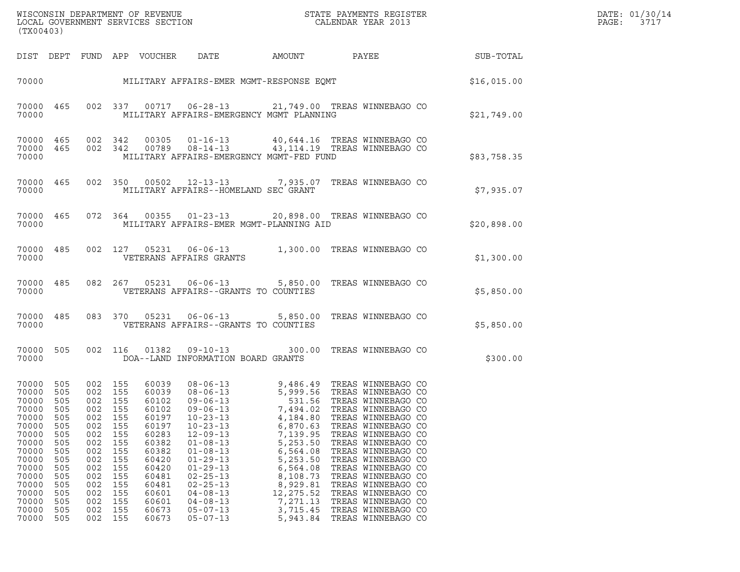| WISCONSIN DEPARTMENT OF REVENUE<br>LOCAL GOVERNMENT SERVICES SECTION<br>STATE PAYMENTS REGISTER<br>CALENDAR YEAR 2013<br>(TX00403)                        |                                                                                                              |                                                                                                                                     |                                                                                         |                                                                                                                                                       |                                                                                                                                                                                                                                                                                              |                                                                                                                                                                        |                                                                                                                                                                                                                                                                                                                                                                                                                      |             | DATE: 01/30/14<br>PAGE:<br>3717 |
|-----------------------------------------------------------------------------------------------------------------------------------------------------------|--------------------------------------------------------------------------------------------------------------|-------------------------------------------------------------------------------------------------------------------------------------|-----------------------------------------------------------------------------------------|-------------------------------------------------------------------------------------------------------------------------------------------------------|----------------------------------------------------------------------------------------------------------------------------------------------------------------------------------------------------------------------------------------------------------------------------------------------|------------------------------------------------------------------------------------------------------------------------------------------------------------------------|----------------------------------------------------------------------------------------------------------------------------------------------------------------------------------------------------------------------------------------------------------------------------------------------------------------------------------------------------------------------------------------------------------------------|-------------|---------------------------------|
|                                                                                                                                                           |                                                                                                              |                                                                                                                                     |                                                                                         | DIST DEPT FUND APP VOUCHER                                                                                                                            | DATE                                                                                                                                                                                                                                                                                         | AMOUNT                                                                                                                                                                 | PAYEE                                                                                                                                                                                                                                                                                                                                                                                                                | SUB-TOTAL   |                                 |
| 70000                                                                                                                                                     |                                                                                                              |                                                                                                                                     |                                                                                         |                                                                                                                                                       | MILITARY AFFAIRS-EMER MGMT-RESPONSE EQMT                                                                                                                                                                                                                                                     |                                                                                                                                                                        |                                                                                                                                                                                                                                                                                                                                                                                                                      | \$16,015.00 |                                 |
| 70000 465<br>70000                                                                                                                                        |                                                                                                              |                                                                                                                                     |                                                                                         |                                                                                                                                                       | MILITARY AFFAIRS-EMERGENCY MGMT PLANNING                                                                                                                                                                                                                                                     |                                                                                                                                                                        | 002 337 00717 06-28-13 21,749.00 TREAS WINNEBAGO CO                                                                                                                                                                                                                                                                                                                                                                  | \$21,749.00 |                                 |
| 70000 465<br>70000 465<br>70000                                                                                                                           |                                                                                                              | 002 342                                                                                                                             | 002 342                                                                                 | 00305                                                                                                                                                 | MILITARY AFFAIRS-EMERGENCY MGMT-FED FUND                                                                                                                                                                                                                                                     |                                                                                                                                                                        | 01-16-13 40,644.16 TREAS WINNEBAGO CO<br>00789  08-14-13  43,114.19  TREAS WINNEBAGO CO                                                                                                                                                                                                                                                                                                                              | \$83,758.35 |                                 |
| 70000 465<br>70000                                                                                                                                        |                                                                                                              |                                                                                                                                     |                                                                                         |                                                                                                                                                       | MILITARY AFFAIRS--HOMELAND SEC GRANT                                                                                                                                                                                                                                                         |                                                                                                                                                                        | 002 350 00502 12-13-13 7,935.07 TREAS WINNEBAGO CO                                                                                                                                                                                                                                                                                                                                                                   | \$7,935.07  |                                 |
| 70000                                                                                                                                                     | 70000 465                                                                                                    |                                                                                                                                     |                                                                                         |                                                                                                                                                       | MILITARY AFFAIRS-EMER MGMT-PLANNING AID                                                                                                                                                                                                                                                      |                                                                                                                                                                        | 072  364  00355  01-23-13  20,898.00 TREAS WINNEBAGO CO                                                                                                                                                                                                                                                                                                                                                              | \$20,898.00 |                                 |
| 70000 485<br>70000                                                                                                                                        |                                                                                                              |                                                                                                                                     | 002 127                                                                                 |                                                                                                                                                       | VETERANS AFFAIRS GRANTS                                                                                                                                                                                                                                                                      |                                                                                                                                                                        | 05231  06-06-13   1,300.00  TREAS WINNEBAGO CO                                                                                                                                                                                                                                                                                                                                                                       | \$1,300.00  |                                 |
| 70000 485<br>70000                                                                                                                                        |                                                                                                              |                                                                                                                                     | 082 267                                                                                 |                                                                                                                                                       | VETERANS AFFAIRS--GRANTS TO COUNTIES                                                                                                                                                                                                                                                         |                                                                                                                                                                        | 05231  06-06-13  5,850.00  TREAS WINNEBAGO CO                                                                                                                                                                                                                                                                                                                                                                        | \$5,850.00  |                                 |
| 70000 485<br>70000                                                                                                                                        |                                                                                                              |                                                                                                                                     | 083 370                                                                                 |                                                                                                                                                       | VETERANS AFFAIRS--GRANTS TO COUNTIES                                                                                                                                                                                                                                                         |                                                                                                                                                                        | 05231  06-06-13  5,850.00  TREAS WINNEBAGO CO                                                                                                                                                                                                                                                                                                                                                                        | \$5,850.00  |                                 |
| 70000 505<br>70000                                                                                                                                        |                                                                                                              |                                                                                                                                     | 002 116                                                                                 | 01382                                                                                                                                                 | DOA--LAND INFORMATION BOARD GRANTS                                                                                                                                                                                                                                                           |                                                                                                                                                                        | 09-10-13 300.00 TREAS WINNEBAGO CO                                                                                                                                                                                                                                                                                                                                                                                   | \$300.00    |                                 |
| 70000<br>70000<br>70000 505<br>70000<br>70000<br>70000<br>70000<br>70000<br>70000<br>70000<br>70000<br>70000<br>70000<br>70000<br>70000<br>70000<br>70000 | 505<br>505<br>505<br>505<br>505<br>505<br>505<br>505<br>505<br>505<br>505<br>505<br>505<br>505<br>505<br>505 | 002 155<br>002 155<br>002 155<br>002<br>002<br>002<br>002<br>002<br>002<br>002<br>002<br>002<br>002<br>002<br>002<br>002<br>002 155 | 155<br>155<br>155<br>155<br>155<br>155<br>155<br>155<br>155<br>155<br>155<br>155<br>155 | 60039<br>60039<br>60102<br>60102<br>60197<br>60197<br>60283<br>60382<br>60382<br>60420<br>60420<br>60481<br>60481<br>60601<br>60601<br>60673<br>60673 | $08 - 06 - 13$<br>$09 - 06 - 13$<br>$09 - 06 - 13$<br>$10 - 23 - 13$<br>$10 - 23 - 13$<br>$12 - 09 - 13$<br>$01 - 08 - 13$<br>$01 - 08 - 13$<br>$01 - 29 - 13$<br>$01 - 29 - 13$<br>$02 - 25 - 13$<br>$02 - 25 - 13$<br>$04 - 08 - 13$<br>$04 - 08 - 13$<br>$05 - 07 - 13$<br>$05 - 07 - 13$ | 7,494.02<br>4,184.80<br>6,870.63<br>7,139.95<br>5,253.50<br>6,564.08<br>5,253.50<br>6,564.08<br>8,108.73<br>8,929.81<br>12, 275.52<br>7,271.13<br>3,715.45<br>5,943.84 | 08-06-13 9,486.49 TREAS WINNEBAGO CO<br>5,999.56 TREAS WINNEBAGO CO<br>531.56 TREAS WINNEBAGO CO<br>TREAS WINNEBAGO CO<br>TREAS WINNEBAGO CO<br>TREAS WINNEBAGO CO<br>TREAS WINNEBAGO CO<br>TREAS WINNEBAGO CO<br>TREAS WINNEBAGO CO<br>TREAS WINNEBAGO CO<br>TREAS WINNEBAGO CO<br>TREAS WINNEBAGO CO<br>TREAS WINNEBAGO CO<br>TREAS WINNEBAGO CO<br>TREAS WINNEBAGO CO<br>TREAS WINNEBAGO CO<br>TREAS WINNEBAGO CO |             |                                 |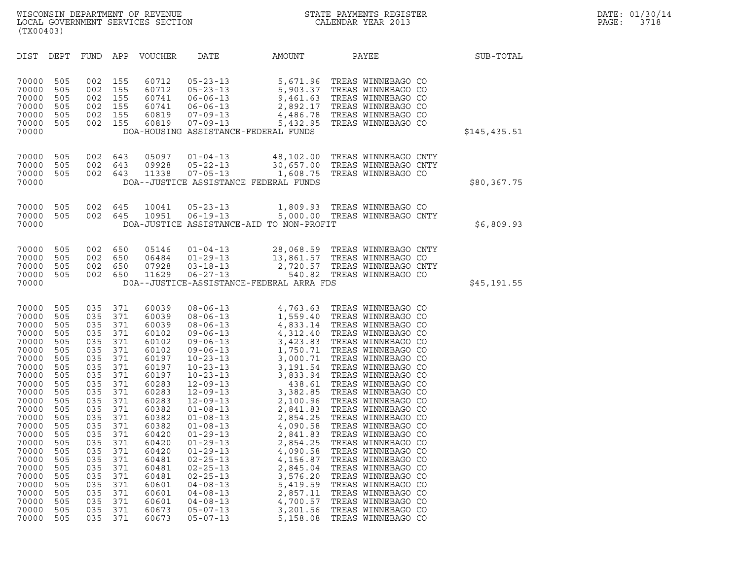| (TX00403)                                                                                                                                                                                                                              |                                                                                                                                                                                    |                                                                                                                                                                                    |                                                                                                                                                                                    |                                                                                                                                                                                                                                        |                                                                                                                                                                                                                                                                                                                                                                                                                                                                                  |                                                                                                                                  |                                                                                                                                                                                                                                                                                                                                                                                                                                                                                                                                                                                                                                                                                                       |              |
|----------------------------------------------------------------------------------------------------------------------------------------------------------------------------------------------------------------------------------------|------------------------------------------------------------------------------------------------------------------------------------------------------------------------------------|------------------------------------------------------------------------------------------------------------------------------------------------------------------------------------|------------------------------------------------------------------------------------------------------------------------------------------------------------------------------------|----------------------------------------------------------------------------------------------------------------------------------------------------------------------------------------------------------------------------------------|----------------------------------------------------------------------------------------------------------------------------------------------------------------------------------------------------------------------------------------------------------------------------------------------------------------------------------------------------------------------------------------------------------------------------------------------------------------------------------|----------------------------------------------------------------------------------------------------------------------------------|-------------------------------------------------------------------------------------------------------------------------------------------------------------------------------------------------------------------------------------------------------------------------------------------------------------------------------------------------------------------------------------------------------------------------------------------------------------------------------------------------------------------------------------------------------------------------------------------------------------------------------------------------------------------------------------------------------|--------------|
| DIST                                                                                                                                                                                                                                   | DEPT                                                                                                                                                                               | <b>FUND</b>                                                                                                                                                                        | APP                                                                                                                                                                                | VOUCHER                                                                                                                                                                                                                                | DATE                                                                                                                                                                                                                                                                                                                                                                                                                                                                             | AMOUNT                                                                                                                           | PAYEE                                                                                                                                                                                                                                                                                                                                                                                                                                                                                                                                                                                                                                                                                                 | SUB-TOTAL    |
| 70000<br>70000<br>70000<br>70000<br>70000<br>70000<br>70000                                                                                                                                                                            | 505<br>505<br>505<br>505<br>505<br>505                                                                                                                                             | 002<br>002<br>002<br>002<br>002<br>002                                                                                                                                             | 155<br>155<br>155<br>155<br>155<br>155                                                                                                                                             | 60712<br>60712<br>60741<br>60741<br>60819<br>60819                                                                                                                                                                                     | $05 - 23 - 13$<br>$05 - 23 - 13$<br>$06 - 06 - 13$<br>$06 - 06 - 13$<br>$07 - 09 - 13$<br>$07 - 09 - 13$                                                                                                                                                                                                                                                                                                                                                                         | DOA-HOUSING ASSISTANCE-FEDERAL FUNDS                                                                                             | 5,671.96 TREAS WINNEBAGO CO<br>5,903.37 TREAS WINNEBAGO CO<br>9,461.63 TREAS WINNEBAGO CO<br>2,892.17 TREAS WINNEBAGO CO<br>4,486.78 TREAS WINNEBAGO CO<br>5,432.95 TREAS WINNEBAGO CO                                                                                                                                                                                                                                                                                                                                                                                                                                                                                                                | \$145,435.51 |
| 70000<br>70000<br>70000<br>70000                                                                                                                                                                                                       | 505<br>505<br>505                                                                                                                                                                  | 002<br>002<br>002                                                                                                                                                                  | 643<br>643<br>643                                                                                                                                                                  | 05097<br>09928<br>11338                                                                                                                                                                                                                | $01 - 04 - 13$<br>$05 - 22 - 13$<br>$07 - 05 - 13$                                                                                                                                                                                                                                                                                                                                                                                                                               | DOA--JUSTICE ASSISTANCE FEDERAL FUNDS                                                                                            | 48,102.00 TREAS WINNEBAGO CNTY<br>30,657.00 TREAS WINNEBAGO CNTY<br>1,608.75 TREAS WINNEBAGO CO                                                                                                                                                                                                                                                                                                                                                                                                                                                                                                                                                                                                       | \$80,367.75  |
| 70000<br>70000<br>70000                                                                                                                                                                                                                | 505<br>505                                                                                                                                                                         | 002<br>002                                                                                                                                                                         | 645<br>645                                                                                                                                                                         | 10041<br>10951                                                                                                                                                                                                                         | $05 - 23 - 13$<br>$06 - 19 - 13$                                                                                                                                                                                                                                                                                                                                                                                                                                                 | DOA-JUSTICE ASSISTANCE-AID TO NON-PROFIT                                                                                         | 1,809.93 TREAS WINNEBAGO CO<br>5,000.00 TREAS WINNEBAGO CNTY                                                                                                                                                                                                                                                                                                                                                                                                                                                                                                                                                                                                                                          | \$6,809.93   |
| 70000<br>70000<br>70000<br>70000<br>70000                                                                                                                                                                                              | 505<br>505<br>505<br>505                                                                                                                                                           | 002<br>002<br>002<br>002                                                                                                                                                           | 650<br>650<br>650<br>650                                                                                                                                                           | 05146<br>06484<br>07928<br>11629                                                                                                                                                                                                       | $01 - 04 - 13$<br>$01 - 29 - 13$<br>$03 - 18 - 13$<br>$06 - 27 - 13$                                                                                                                                                                                                                                                                                                                                                                                                             | DOA--JUSTICE-ASSISTANCE-FEDERAL ARRA FDS                                                                                         | 28,068.59 TREAS WINNEBAGO CNTY<br>13,861.57 TREAS WINNEBAGO CO<br>2,720.57 TREAS WINNEBAGO CNTY<br>540.82 TREAS WINNEBAGO CO                                                                                                                                                                                                                                                                                                                                                                                                                                                                                                                                                                          | \$45,191.55  |
| 70000<br>70000<br>70000<br>70000<br>70000<br>70000<br>70000<br>70000<br>70000<br>70000<br>70000<br>70000<br>70000<br>70000<br>70000<br>70000<br>70000<br>70000<br>70000<br>70000<br>70000<br>70000<br>70000<br>70000<br>70000<br>70000 | 505<br>505<br>505<br>505<br>505<br>505<br>505<br>505<br>505<br>505<br>505<br>505<br>505<br>505<br>505<br>505<br>505<br>505<br>505<br>505<br>505<br>505<br>505<br>505<br>505<br>505 | 035<br>035<br>035<br>035<br>035<br>035<br>035<br>035<br>035<br>035<br>035<br>035<br>035<br>035<br>035<br>035<br>035<br>035<br>035<br>035<br>035<br>035<br>035<br>035<br>035<br>035 | 371<br>371<br>371<br>371<br>371<br>371<br>371<br>371<br>371<br>371<br>371<br>371<br>371<br>371<br>371<br>371<br>371<br>371<br>371<br>371<br>371<br>371<br>371<br>371<br>371<br>371 | 60039<br>60039<br>60039<br>60102<br>60102<br>60102<br>60197<br>60197<br>60197<br>60283<br>60283<br>60283<br>60382<br>60382<br>60382<br>60420<br>60420<br>60420<br>60481<br>60481<br>60481<br>60601<br>60601<br>60601<br>60673<br>60673 | $08 - 06 - 13$<br>$08 - 06 - 13$<br>$08 - 06 - 13$<br>$09 - 06 - 13$<br>$09 - 06 - 13$<br>$09 - 06 - 13$<br>$10 - 23 - 13$<br>$10 - 23 - 13$<br>$10 - 23 - 13$<br>$12 - 09 - 13$<br>$12 - 09 - 13$<br>$12 - 09 - 13$<br>$01 - 08 - 13$<br>$01 - 08 - 13$<br>$01 - 08 - 13$<br>$01 - 29 - 13$<br>$01 - 29 - 13$<br>$01 - 29 - 13$<br>$02 - 25 - 13$<br>$02 - 25 - 13$<br>$02 - 25 - 13$<br>$04 - 08 - 13$<br>$04 - 08 - 13$<br>$04 - 08 - 13$<br>$05 - 07 - 13$<br>$05 - 07 - 13$ | 2,841.83<br>2,854.25<br>4,090.58<br>4,156.87<br>2,845.04<br>3,576.20<br>5,419.59<br>2,857.11<br>4,700.57<br>3,201.56<br>5,158.08 | 4,763.63 TREAS WINNEBAGO CO 1,559.40 TREAS WINNEBAGO CO 4,833.14 TREAS WINNEBAGO CO 4,312.40 TREAS WINNEBAGO CO 3,423.83 TREAS WINNEBAGO CO 3,000.71 TREAS WINNEBAGO CO 3,000.71 TREAS WINNEBAGO CO<br>3,000.71 TREAS WINNEBAGO CO<br>3,191.54 TREAS WINNEBAGO CO<br>3,833.94 TREAS WINNEBAGO CO<br>438.61 TREAS WINNEBAGO CO<br>3,382.85 TREAS WINNEBAGO CO<br>2,100.96 TREAS WINNEBAGO CO<br>2,841.83 TREAS WINNEBAGO CO<br>4,090.58 TREAS WINNEB<br>TREAS WINNEBAGO CO<br>TREAS WINNEBAGO CO<br>TREAS WINNEBAGO CO<br>TREAS WINNEBAGO CO<br>TREAS WINNEBAGO CO<br>TREAS WINNEBAGO CO<br>TREAS WINNEBAGO CO<br>TREAS WINNEBAGO CO<br>TREAS WINNEBAGO CO<br>TREAS WINNEBAGO CO<br>TREAS WINNEBAGO CO |              |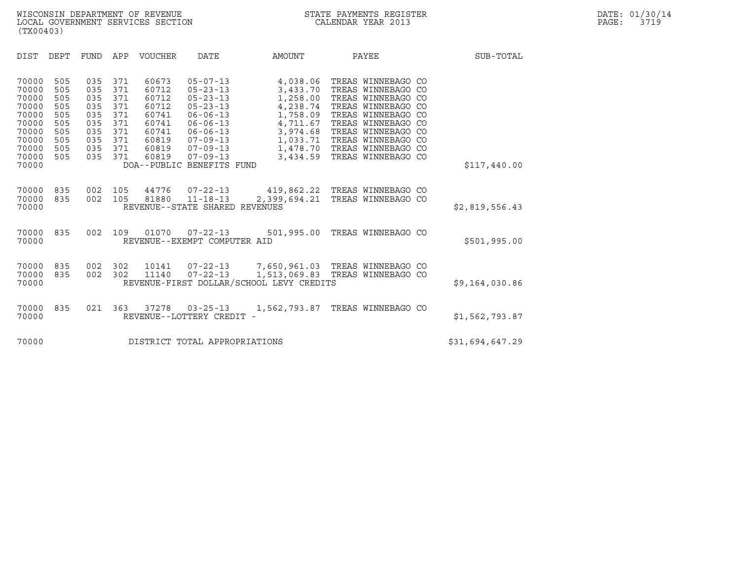| (TX00403)                                                                                       |                                                                    |                                                                    |                                                                    |                                                                                        |                                                                                                                                                                                                               |                                                                                                                      |                                                                                                                                                                                                                          |                 |
|-------------------------------------------------------------------------------------------------|--------------------------------------------------------------------|--------------------------------------------------------------------|--------------------------------------------------------------------|----------------------------------------------------------------------------------------|---------------------------------------------------------------------------------------------------------------------------------------------------------------------------------------------------------------|----------------------------------------------------------------------------------------------------------------------|--------------------------------------------------------------------------------------------------------------------------------------------------------------------------------------------------------------------------|-----------------|
| <b>DIST</b>                                                                                     | <b>DEPT</b>                                                        | <b>FUND</b>                                                        | APP                                                                | <b>VOUCHER</b>                                                                         | <b>DATE</b>                                                                                                                                                                                                   | AMOUNT                                                                                                               | PAYEE                                                                                                                                                                                                                    | SUB-TOTAL       |
| 70000<br>70000<br>70000<br>70000<br>70000<br>70000<br>70000<br>70000<br>70000<br>70000<br>70000 | 505<br>505<br>505<br>505<br>505<br>505<br>505<br>505<br>505<br>505 | 035<br>035<br>035<br>035<br>035<br>035<br>035<br>035<br>035<br>035 | 371<br>371<br>371<br>371<br>371<br>371<br>371<br>371<br>371<br>371 | 60673<br>60712<br>60712<br>60712<br>60741<br>60741<br>60741<br>60819<br>60819<br>60819 | $05 - 07 - 13$<br>$05 - 23 - 13$<br>$05 - 23 - 13$<br>$05 - 23 - 13$<br>$06 - 06 - 13$<br>$06 - 06 - 13$<br>$06 - 06 - 13$<br>$07 - 09 - 13$<br>$07 - 09 - 13$<br>$07 - 09 - 13$<br>DOA--PUBLIC BENEFITS FUND | 4,038.06<br>3,433.70<br>1,258.00<br>4,238.74<br>1,758.09<br>4,711.67<br>3,974.68<br>1,033.71<br>1,478.70<br>3,434.59 | TREAS WINNEBAGO CO<br>TREAS WINNEBAGO CO<br>TREAS WINNEBAGO CO<br>TREAS WINNEBAGO CO<br>TREAS WINNEBAGO CO<br>TREAS WINNEBAGO CO<br>TREAS WINNEBAGO CO<br>TREAS WINNEBAGO CO<br>TREAS WINNEBAGO CO<br>TREAS WINNEBAGO CO | \$117,440.00    |
| 70000<br>70000<br>70000                                                                         | 835<br>835                                                         | 002<br>002                                                         | 105<br>105                                                         | 44776<br>81880                                                                         | 07-22-13<br>$11 - 18 - 13$<br>REVENUE--STATE SHARED REVENUES                                                                                                                                                  | 2,399,694.21                                                                                                         | 419,862.22 TREAS WINNEBAGO CO<br>TREAS WINNEBAGO CO                                                                                                                                                                      | \$2,819,556.43  |
| 70000<br>70000                                                                                  | 835                                                                | 002                                                                | 109                                                                | 01070                                                                                  | $07 - 22 - 13$<br>REVENUE--EXEMPT COMPUTER AID                                                                                                                                                                | 501,995.00                                                                                                           | TREAS WINNEBAGO CO                                                                                                                                                                                                       | \$501,995.00    |
| 70000<br>70000<br>70000                                                                         | 835<br>835                                                         | 002<br>002                                                         | 302<br>302                                                         | 10141<br>11140                                                                         | $07 - 22 - 13$                                                                                                                                                                                                | 1,513,069.83<br>REVENUE-FIRST DOLLAR/SCHOOL LEVY CREDITS                                                             | 07-22-13 7,650,961.03 TREAS WINNEBAGO CO<br>TREAS WINNEBAGO CO                                                                                                                                                           | \$9,164,030.86  |
| 70000<br>70000                                                                                  | 835                                                                | 021                                                                | 363                                                                | 37278                                                                                  | $03 - 25 - 13$<br>REVENUE--LOTTERY CREDIT -                                                                                                                                                                   | 1,562,793.87                                                                                                         | TREAS WINNEBAGO CO                                                                                                                                                                                                       | \$1,562,793.87  |
| 70000                                                                                           |                                                                    |                                                                    |                                                                    |                                                                                        | DISTRICT TOTAL APPROPRIATIONS                                                                                                                                                                                 |                                                                                                                      |                                                                                                                                                                                                                          | \$31,694,647.29 |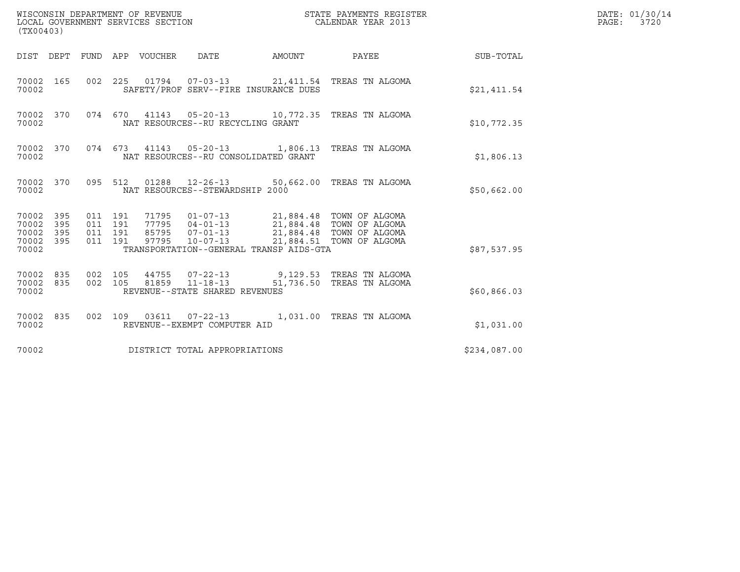| WISCONSIN DEPARTMENT OF REVENUE<br>LOCAL GOVERNMENT SERVICES SECTION<br>(TX00403) |                    |                    |                         |                                                                                                                                             |           | STATE PAYMENTS REGISTER<br>CALENDAR YEAR 2013                                    |              | DATE: 01/30/14<br>PAGE:<br>3720 |
|-----------------------------------------------------------------------------------|--------------------|--------------------|-------------------------|---------------------------------------------------------------------------------------------------------------------------------------------|-----------|----------------------------------------------------------------------------------|--------------|---------------------------------|
| DIST DEPT                                                                         |                    | FUND APP VOUCHER   |                         | DATE                                                                                                                                        | AMOUNT    | PAYEE                                                                            | SUB-TOTAL    |                                 |
| 70002 165<br>70002                                                                |                    |                    |                         | SAFETY/PROF SERV--FIRE INSURANCE DUES                                                                                                       |           | 002 225 01794 07-03-13 21,411.54 TREAS TN ALGOMA                                 | \$21,411.54  |                                 |
| 70002 370<br>70002                                                                |                    |                    |                         | 074 670 41143 05-20-13<br>NAT RESOURCES--RU RECYCLING GRANT                                                                                 |           | 10,772.35 TREAS TN ALGOMA                                                        | \$10,772.35  |                                 |
| 70002 370<br>70002                                                                |                    |                    |                         | NAT RESOURCES--RU CONSOLIDATED GRANT                                                                                                        |           | 074 673 41143 05-20-13 1,806.13 TREAS TN ALGOMA                                  | \$1,806.13   |                                 |
| 70002 370<br>70002                                                                |                    | 095 512            |                         | NAT RESOURCES--STEWARDSHIP 2000                                                                                                             |           | 01288  12-26-13  50,662.00 TREAS TN ALGOMA                                       | \$50,662.00  |                                 |
| 70002 395<br>70002<br>395<br>70002<br>395<br>70002 395<br>70002                   | 011 191<br>011 191 | 011 191<br>011 191 | 77795<br>85795<br>97795 | 71795  01-07-13  21,884.48  TOWN OF ALGOMA<br>$04 - 01 - 13$<br>$07 - 01 - 13$<br>$10 - 07 - 13$<br>TRANSPORTATION--GENERAL TRANSP AIDS-GTA |           | 21,884.48 TOWN OF ALGOMA<br>21,884.48 TOWN OF ALGOMA<br>21,884.51 TOWN OF ALGOMA | \$87,537.95  |                                 |
| 70002 835<br>70002<br>835<br>70002                                                | 002 105<br>002 105 |                    | 44755<br>81859          | $07 - 22 - 13$<br>$11 - 18 - 13$<br>REVENUE--STATE SHARED REVENUES                                                                          | 51,736.50 | 9,129.53   TREAS TN ALGOMA<br>TREAS TN ALGOMA                                    | \$60,866.03  |                                 |
| 70002 835<br>70002                                                                | 002 109            |                    |                         | REVENUE--EXEMPT COMPUTER AID                                                                                                                |           | 1,031.00 TREAS TN ALGOMA                                                         | \$1,031.00   |                                 |
| 70002                                                                             |                    |                    |                         | DISTRICT TOTAL APPROPRIATIONS                                                                                                               |           |                                                                                  | \$234,087.00 |                                 |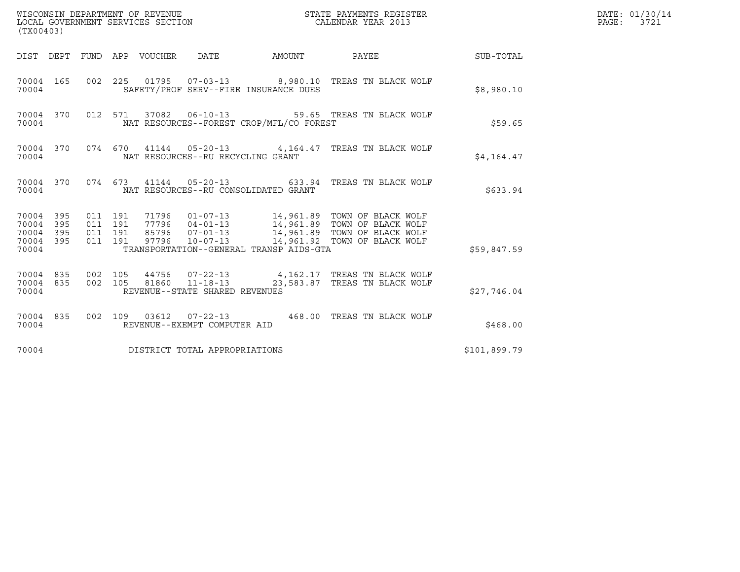| (TX00403)                                         |            |                               |         |                                 | WISCONSIN DEPARTMENT OF REVENUE<br>LOCAL GOVERNMENT SERVICES SECTION |                                          | STATE PAYMENTS REGISTER<br>CALENDAR YEAR 2013                                                                                                                                                        |              | DATE: 01/30/14<br>PAGE: 3721 |
|---------------------------------------------------|------------|-------------------------------|---------|---------------------------------|----------------------------------------------------------------------|------------------------------------------|------------------------------------------------------------------------------------------------------------------------------------------------------------------------------------------------------|--------------|------------------------------|
|                                                   |            |                               |         | DIST DEPT FUND APP VOUCHER DATE |                                                                      | AMOUNT                                   | PAYEE                                                                                                                                                                                                | SUB-TOTAL    |                              |
| 70004 165<br>70004                                |            |                               |         |                                 |                                                                      | SAFETY/PROF SERV--FIRE INSURANCE DUES    | 002  225  01795  07-03-13  8,980.10 TREAS TN BLACK WOLF                                                                                                                                              | \$8,980.10   |                              |
| 70004 370<br>70004                                |            |                               |         |                                 | 012 571 37082 06-10-13                                               | NAT RESOURCES--FOREST CROP/MFL/CO FOREST | 59.65 TREAS TN BLACK WOLF                                                                                                                                                                            | \$59.65      |                              |
| 70004                                             | 70004 370  |                               |         |                                 | NAT RESOURCES--RU RECYCLING GRANT                                    |                                          | 074 670 41144 05-20-13 4,164.47 TREAS TN BLACK WOLF                                                                                                                                                  | \$4,164.47   |                              |
| 70004                                             | 70004 370  |                               |         |                                 |                                                                      | NAT RESOURCES--RU CONSOLIDATED GRANT     | 074  673  41144  05-20-13  633.94  TREAS TN BLACK WOLF                                                                                                                                               | \$633.94     |                              |
| 70004 395<br>70004<br>70004<br>70004 395<br>70004 | 395<br>395 | 011 191<br>011 191<br>011 191 | 011 191 |                                 |                                                                      | TRANSPORTATION--GENERAL TRANSP AIDS-GTA  | 71796  01-07-13  14,961.89  TOWN OF BLACK WOLF<br>77796  04-01-13  14,961.89  TOWN OF BLACK WOLF<br>85796  07-01-13  14,961.89  TOWN OF BLACK WOLF<br>97796  10-07-13  14,961.92  TOWN OF BLACK WOLF | \$59,847.59  |                              |
| 70004 835<br>70004 835<br>70004                   |            | 002 105<br>002 105            |         | 81860                           | $11 - 18 - 13$<br>REVENUE--STATE SHARED REVENUES                     |                                          | 44756 07-22-13 4,162.17 TREAS TN BLACK WOLF<br>23,583.87 TREAS TN BLACK WOLF                                                                                                                         | \$27,746.04  |                              |
| 70004 835<br>70004                                |            |                               |         |                                 | REVENUE--EXEMPT COMPUTER AID                                         |                                          | 002  109  03612  07-22-13  468.00 TREAS TN BLACK WOLF                                                                                                                                                | \$468.00     |                              |
| 70004                                             |            |                               |         |                                 | DISTRICT TOTAL APPROPRIATIONS                                        |                                          |                                                                                                                                                                                                      | \$101,899.79 |                              |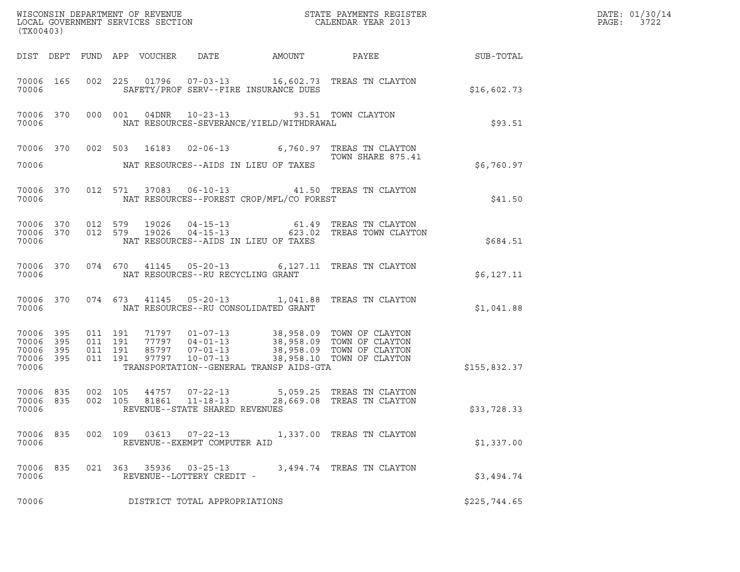| (TX00403)                                                 |                    |                               |                                                  |                                                                                                 | ${\tt WISCONSIM\ DEPARTMENT\ OF\ REVENUE}\qquad \qquad {\tt STATE\ PAYMENTS\ REGISTER} \\ {\tt LOCAL\ GOVERNMENT\ SERVICES\ SECTION}\qquad \qquad {\tt CALENDAR\ YEAR\ 2013}$                                       |              | DATE: 01/30/14<br>PAGE:<br>3722 |
|-----------------------------------------------------------|--------------------|-------------------------------|--------------------------------------------------|-------------------------------------------------------------------------------------------------|---------------------------------------------------------------------------------------------------------------------------------------------------------------------------------------------------------------------|--------------|---------------------------------|
|                                                           |                    |                               |                                                  |                                                                                                 |                                                                                                                                                                                                                     |              |                                 |
| 70006                                                     |                    |                               |                                                  | SAFETY/PROF SERV--FIRE INSURANCE DUES                                                           | 70006 165 002 225 01796 07-03-13 16,602.73 TREAS TN CLAYTON                                                                                                                                                         | \$16,602.73  |                                 |
| 70006                                                     |                    |                               |                                                  | 70006 370 000 001 04DNR 10-23-13 93.51 TOWN CLAYTON<br>NAT RESOURCES-SEVERANCE/YIELD/WITHDRAWAL |                                                                                                                                                                                                                     | \$93.51      |                                 |
|                                                           |                    |                               |                                                  | 70006 NAT RESOURCES--AIDS IN LIEU OF TAXES                                                      | 70006 370 002 503 16183 02-06-13 6,760.97 TREAS TN CLAYTON<br>TOWN SHARE 875.41                                                                                                                                     | \$6,760.97   |                                 |
| 70006                                                     |                    |                               |                                                  | NAT RESOURCES--FOREST CROP/MFL/CO FOREST                                                        | 70006 370 012 571 37083 06-10-13 41.50 TREAS TN CLAYTON                                                                                                                                                             | \$41.50      |                                 |
| 70006                                                     |                    |                               |                                                  | NAT RESOURCES--AIDS IN LIEU OF TAXES                                                            | $\begin{array}{cccccc} 70006 & 370 & 012 & 579 & 19026 & 04-15-13 & & & & & 61.49 & \text{TREAS TN CLAYTON} \\ 70006 & 370 & 012 & 579 & 19026 & 04-15-13 & & & & & 623.02 & \text{TREAS TOWN CLAYTON} \end{array}$ | \$684.51     |                                 |
| 70006                                                     |                    |                               | NAT RESOURCES--RU RECYCLING GRANT                |                                                                                                 | 70006 370 074 670 41145 05-20-13 6,127.11 TREAS TN CLAYTON                                                                                                                                                          | \$6,127.11   |                                 |
| 70006                                                     |                    |                               |                                                  | NAT RESOURCES--RU CONSOLIDATED GRANT                                                            | 70006 370 074 673 41145 05-20-13 1,041.88 TREAS TN CLAYTON                                                                                                                                                          | \$1,041.88   |                                 |
| 70006 395<br>70006 395<br>70006 395<br>70006 395<br>70006 | 011 191            | 011 191<br>011 191<br>011 191 |                                                  | TRANSPORTATION--GENERAL TRANSP AIDS-GTA                                                         |                                                                                                                                                                                                                     | \$155,832.37 |                                 |
| 70006 835<br>70006 835<br>70006                           | 002 105<br>002 105 |                               | 81861 11-18-13<br>REVENUE--STATE SHARED REVENUES |                                                                                                 | 44757  07-22-13  5,059.25  TREAS TN CLAYTON<br>28,669.08 TREAS TN CLAYTON                                                                                                                                           | \$33,728.33  |                                 |
| 70006 835<br>70006                                        |                    |                               | REVENUE--EXEMPT COMPUTER AID                     |                                                                                                 | 002 109 03613 07-22-13 1,337.00 TREAS TN CLAYTON                                                                                                                                                                    | \$1,337.00   |                                 |
| 70006 835<br>70006                                        |                    |                               | REVENUE--LOTTERY CREDIT -                        |                                                                                                 | 021 363 35936 03-25-13 3,494.74 TREAS TN CLAYTON                                                                                                                                                                    | \$3,494.74   |                                 |
| 70006                                                     |                    |                               | DISTRICT TOTAL APPROPRIATIONS                    |                                                                                                 |                                                                                                                                                                                                                     | \$225,744.65 |                                 |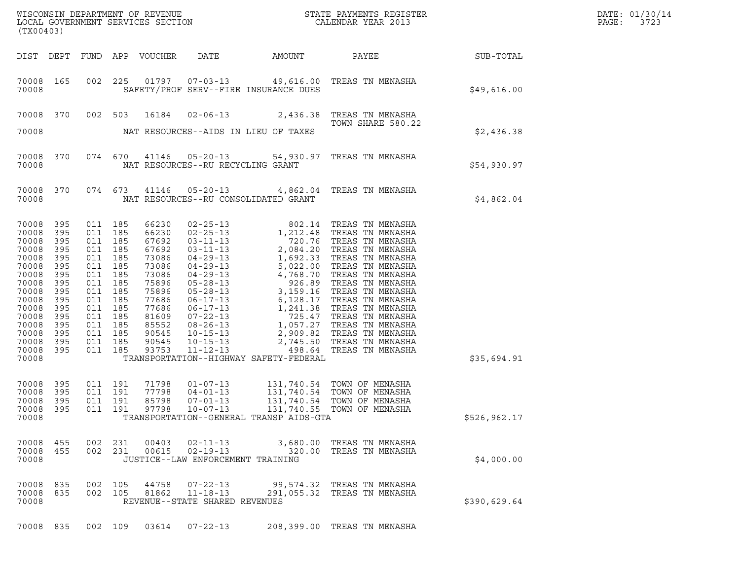| DATE: | 01/30/14 |
|-------|----------|
| PAGE: | 3723     |

| (TX00403)                                                                                                                                                 |                                                                                                       |                                                                                                                                                                   |                    |                            |                                                                       |                                         |                                                                                                                                                  |                 | DATE: 01/30/14<br>PAGE:<br>3723 |
|-----------------------------------------------------------------------------------------------------------------------------------------------------------|-------------------------------------------------------------------------------------------------------|-------------------------------------------------------------------------------------------------------------------------------------------------------------------|--------------------|----------------------------|-----------------------------------------------------------------------|-----------------------------------------|--------------------------------------------------------------------------------------------------------------------------------------------------|-----------------|---------------------------------|
|                                                                                                                                                           |                                                                                                       |                                                                                                                                                                   |                    | DIST DEPT FUND APP VOUCHER |                                                                       | DATE AMOUNT                             |                                                                                                                                                  | PAYEE SUB-TOTAL |                                 |
| 70008 165<br>70008                                                                                                                                        |                                                                                                       |                                                                                                                                                                   |                    |                            |                                                                       | SAFETY/PROF SERV--FIRE INSURANCE DUES   | 002 225 01797 07-03-13 49,616.00 TREAS TN MENASHA                                                                                                | \$49,616.00     |                                 |
|                                                                                                                                                           |                                                                                                       |                                                                                                                                                                   |                    |                            |                                                                       |                                         | 70008 370 002 503 16184 02-06-13 2,436.38 TREAS TN MENASHA<br>TOWN SHARE 580.22                                                                  |                 |                                 |
| 70008                                                                                                                                                     |                                                                                                       |                                                                                                                                                                   |                    |                            |                                                                       | NAT RESOURCES--AIDS IN LIEU OF TAXES    |                                                                                                                                                  | \$2,436.38      |                                 |
| 70008                                                                                                                                                     | 70008 370                                                                                             |                                                                                                                                                                   |                    |                            | NAT RESOURCES--RU RECYCLING GRANT                                     |                                         | 074 670 41146 05-20-13 54,930.97 TREAS TN MENASHA                                                                                                | \$54,930.97     |                                 |
| 70008                                                                                                                                                     | 70008 370                                                                                             |                                                                                                                                                                   |                    |                            |                                                                       | NAT RESOURCES--RU CONSOLIDATED GRANT    | 074 673 41146 05-20-13 4,862.04 TREAS TN MENASHA                                                                                                 | \$4,862.04      |                                 |
| 70008<br>70008<br>70008<br>70008<br>70008<br>70008<br>70008<br>70008<br>70008<br>70008<br>70008<br>70008<br>70008<br>70008<br>70008<br>70008 395<br>70008 | 395<br>395<br>395<br>395<br>395<br>395<br>395<br>395<br>395<br>395<br>395<br>395<br>395<br>395<br>395 | 011 185<br>011 185<br>011 185<br>011 185<br>011 185<br>011 185<br>011 185<br>011 185<br>011 185<br>011 185<br>011 185<br>011 185<br>011 185<br>011 185<br>011 185 | 011 185            |                            |                                                                       | TRANSPORTATION--HIGHWAY SAFETY-FEDERAL  |                                                                                                                                                  | \$35,694.91     |                                 |
| 70008 395<br>70008<br>70008<br>70008<br>70008                                                                                                             | 395<br>395<br>395                                                                                     | 011 191<br>011 191<br>011 191                                                                                                                                     |                    | 71798<br>77798<br>85798    | $01 - 07 - 13$<br>$04 - 01 - 13$<br>$07 - 01 - 13$                    | TRANSPORTATION--GENERAL TRANSP AIDS-GTA | 131,740.54 TOWN OF MENASHA<br>131,740.54 TOWN OF MENASHA<br>131,740.54 TOWN OF MENASHA<br>011  191  97798  10-07-13  131,740.55  TOWN OF MENASHA | \$526,962.17    |                                 |
| 70008 455<br>70008 455<br>70008                                                                                                                           |                                                                                                       | 002                                                                                                                                                               | 231<br>002 231     | 00403<br>00615             | $02 - 11 - 13$<br>$02 - 19 - 13$<br>JUSTICE--LAW ENFORCEMENT TRAINING |                                         | 3,680.00 TREAS TN MENASHA<br>320.00 TREAS TN MENASHA                                                                                             | \$4,000.00      |                                 |
| 70008 835<br>70008<br>70008                                                                                                                               | 835                                                                                                   |                                                                                                                                                                   | 002 105<br>002 105 | 44758<br>81862             | $07 - 22 - 13$<br>$11 - 18 - 13$<br>REVENUE--STATE SHARED REVENUES    |                                         | 99,574.32 TREAS TN MENASHA<br>291,055.32 TREAS TN MENASHA                                                                                        | \$390,629.64    |                                 |
| 70008 835                                                                                                                                                 |                                                                                                       |                                                                                                                                                                   | 002 109            | 03614                      | $07 - 22 - 13$                                                        |                                         | 208,399.00 TREAS TN MENASHA                                                                                                                      |                 |                                 |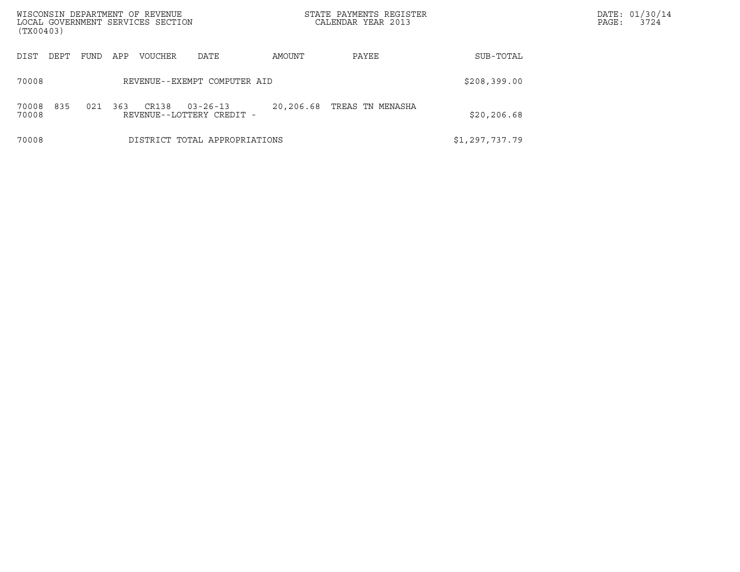| WISCONSIN DEPARTMENT OF REVENUE<br>LOCAL GOVERNMENT SERVICES SECTION<br>(TX00403) |      |     |                |                                             |              | STATE PAYMENTS REGISTER<br>CALENDAR YEAR 2013 |                | DATE: 01/30/14<br>PAGE:<br>3724 |
|-----------------------------------------------------------------------------------|------|-----|----------------|---------------------------------------------|--------------|-----------------------------------------------|----------------|---------------------------------|
| DEPT<br>DIST                                                                      | FUND | APP | <b>VOUCHER</b> | DATE                                        | AMOUNT       | PAYEE                                         | SUB-TOTAL      |                                 |
| 70008                                                                             |      |     |                | REVENUE--EXEMPT COMPUTER AID                | \$208,399.00 |                                               |                |                                 |
| 835<br>70008<br>70008                                                             | 021  | 363 | CR138          | $03 - 26 - 13$<br>REVENUE--LOTTERY CREDIT - | 20,206.68    | TREAS TN MENASHA                              | \$20, 206.68   |                                 |
| 70008                                                                             |      |     |                | DISTRICT TOTAL APPROPRIATIONS               |              |                                               | \$1,297,737.79 |                                 |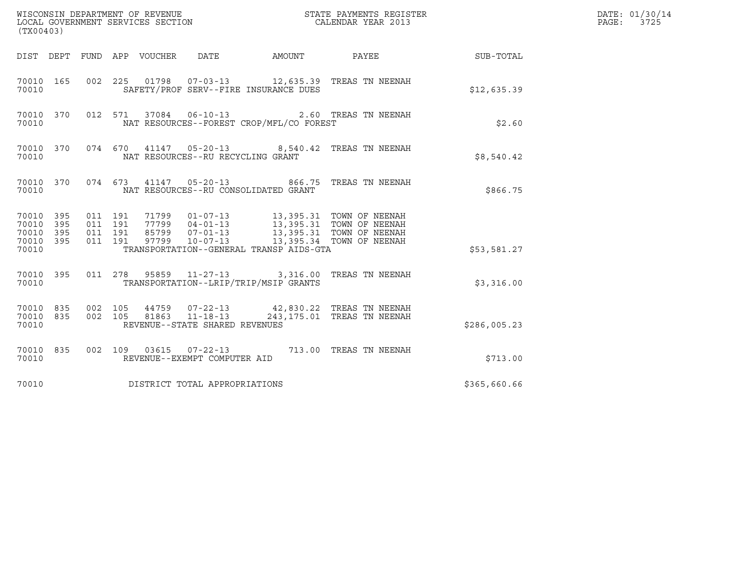| (TX00403)                                         |            |                    |                    |                                 | WISCONSIN DEPARTMENT OF REVENUE<br>LOCAL GOVERNMENT SERVICES SECTION |                                          | STATE PAYMENTS REGISTER<br>CALENDAR YEAR 2013                                                                                                                                                    |                        | DATE: 01/30/14<br>$\mathtt{PAGE:}$<br>3725 |
|---------------------------------------------------|------------|--------------------|--------------------|---------------------------------|----------------------------------------------------------------------|------------------------------------------|--------------------------------------------------------------------------------------------------------------------------------------------------------------------------------------------------|------------------------|--------------------------------------------|
|                                                   |            |                    |                    | DIST DEPT FUND APP VOUCHER DATE |                                                                      |                                          |                                                                                                                                                                                                  | AMOUNT PAYEE SUB-TOTAL |                                            |
| 70010 165<br>70010                                |            | 002 225            |                    |                                 |                                                                      | SAFETY/PROF SERV--FIRE INSURANCE DUES    |                                                                                                                                                                                                  | \$12,635.39            |                                            |
| 70010 370<br>70010                                |            |                    |                    |                                 | 012 571 37084 06-10-13                                               | NAT RESOURCES--FOREST CROP/MFL/CO FOREST | 2.60 TREAS TN NEENAH                                                                                                                                                                             | \$2.60                 |                                            |
| 70010 370<br>70010                                |            |                    |                    |                                 | NAT RESOURCES--RU RECYCLING GRANT                                    |                                          | 074 670 41147 05-20-13 8,540.42 TREAS TN NEENAH                                                                                                                                                  | \$8,540.42             |                                            |
| 70010 370<br>70010                                |            |                    |                    |                                 |                                                                      | NAT RESOURCES--RU CONSOLIDATED GRANT     | 074 673 41147 05-20-13 866.75 TREAS TN NEENAH                                                                                                                                                    | \$866.75               |                                            |
| 70010 395<br>70010<br>70010<br>70010 395<br>70010 | 395<br>395 | 011 191<br>011 191 | 011 191<br>011 191 |                                 |                                                                      | TRANSPORTATION--GENERAL TRANSP AIDS-GTA  | 71799   01-07-13   13,395.31   TOWN OF NEENAH<br>77799   04-01-13   13,395.31   TOWN OF NEENAH<br>85799   07-01-13   13,395.31   TOWN OF NEENAH<br>97799   10-07-13   13,395.34   TOWN OF NEENAH | \$53,581.27            |                                            |
| 70010 395<br>70010                                |            |                    |                    |                                 |                                                                      | TRANSPORTATION--LRIP/TRIP/MSIP GRANTS    | 011 278 95859 11-27-13 3,316.00 TREAS TN NEENAH                                                                                                                                                  | \$3,316.00             |                                            |
| 70010 835<br>70010 835<br>70010                   |            | 002 105<br>002 105 |                    |                                 | REVENUE--STATE SHARED REVENUES                                       |                                          | 44759   07-22-13   42,830.22   TREAS TN NEENAH<br>81863   11-18-13   243,175.01   TREAS TN NEENAH                                                                                                | \$286,005.23           |                                            |
| 70010 835<br>70010                                |            |                    |                    |                                 | REVENUE--EXEMPT COMPUTER AID                                         |                                          | 002 109 03615 07-22-13 713.00 TREAS TN NEENAH                                                                                                                                                    | \$713.00               |                                            |
| 70010                                             |            |                    |                    |                                 | DISTRICT TOTAL APPROPRIATIONS                                        |                                          |                                                                                                                                                                                                  | \$365,660.66           |                                            |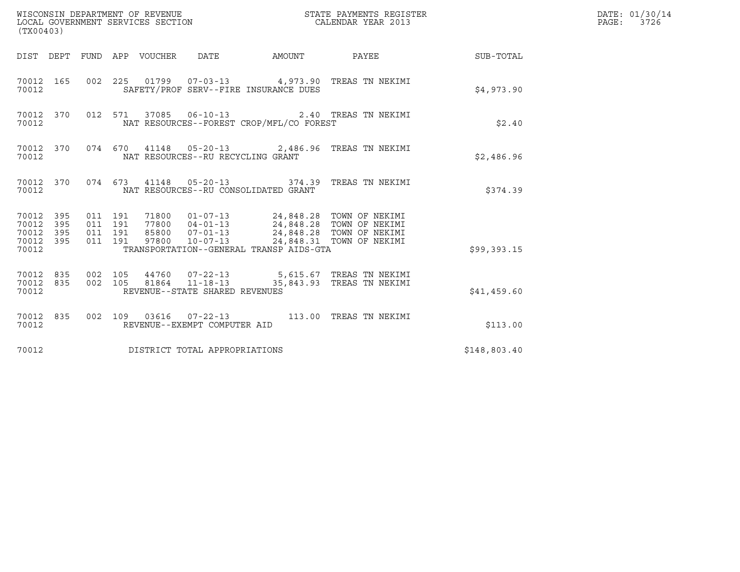| (TX00403)                                                       |                                                                        |                                                                                                                                                                                                                                 |                           |              | DATE: 01/30/14<br>PAGE: 3726 |
|-----------------------------------------------------------------|------------------------------------------------------------------------|---------------------------------------------------------------------------------------------------------------------------------------------------------------------------------------------------------------------------------|---------------------------|--------------|------------------------------|
|                                                                 | DIST DEPT FUND APP VOUCHER DATE                                        | AMOUNT                                                                                                                                                                                                                          | PAYEE                     | SUB-TOTAL    |                              |
| 70012 165<br>70012                                              |                                                                        | 002 225 01799 07-03-13 4,973.90 TREAS TN NEKIMI<br>SAFETY/PROF SERV--FIRE INSURANCE DUES                                                                                                                                        |                           | \$4,973.90   |                              |
| 70012 370<br>70012                                              |                                                                        | 012 571 37085 06-10-13 2.40 TREAS TN NEKIMI<br>NAT RESOURCES--FOREST CROP/MFL/CO FOREST                                                                                                                                         |                           | \$2.40       |                              |
| 70012 370<br>70012                                              |                                                                        | 074 670 41148 05-20-13 2,486.96 TREAS TN NEKIMI<br>NAT RESOURCES--RU RECYCLING GRANT                                                                                                                                            |                           | \$2,486.96   |                              |
| 70012 370<br>70012                                              |                                                                        | 074  673  41148  05-20-13  374.39  TREAS TN NEKIMI<br>NAT RESOURCES--RU CONSOLIDATED GRANT                                                                                                                                      |                           | \$374.39     |                              |
| 70012 395<br>70012<br>395<br>70012<br>395<br>70012 395<br>70012 | 011 191<br>011 191<br>011 191<br>011 191                               | 71800  01-07-13  24,848.28  TOWN OF NEKIMI<br>77800  04-01-13  24,848.28  TOWN OF NEKIMI<br>85800  07-01-13  24,848.28  TOWN OF NEKIMI<br>97800  10-07-13  24,848.31  TOWN OF NEKIMI<br>TRANSPORTATION--GENERAL TRANSP AIDS-GTA |                           | \$99,393.15  |                              |
| 70012 835<br>70012 835<br>70012                                 | 002 105<br>002 105<br>81864 11-18-13<br>REVENUE--STATE SHARED REVENUES | 44760  07-22-13  5,615.67 TREAS TN NEKIMI                                                                                                                                                                                       | 35,843.93 TREAS TN NEKIMI | \$41,459.60  |                              |
| 70012 835<br>70012                                              | REVENUE--EXEMPT COMPUTER AID                                           | 002 109 03616 07-22-13 113.00 TREAS TN NEKIMI                                                                                                                                                                                   |                           | \$113.00     |                              |
| 70012                                                           | DISTRICT TOTAL APPROPRIATIONS                                          |                                                                                                                                                                                                                                 |                           | \$148,803.40 |                              |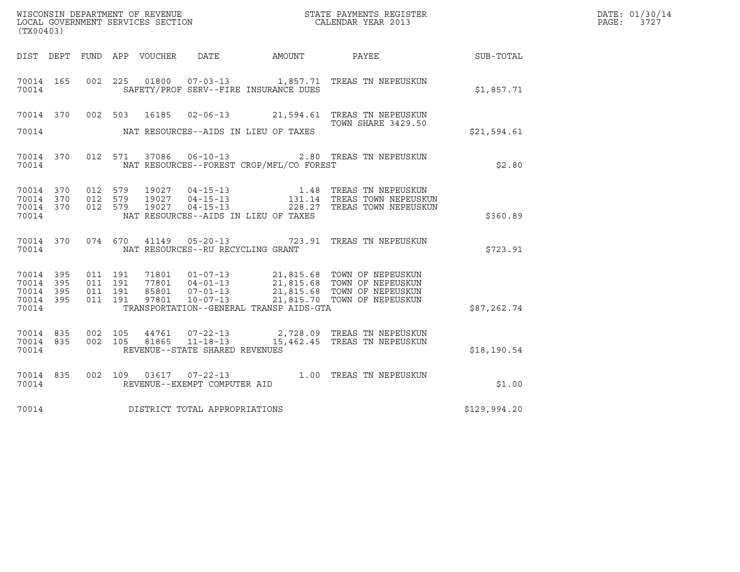| (TX00403)                                                 |  |                                 | WISCONSIN DEPARTMENT OF REVENUE<br>LOCAL GOVERNMENT SERVICES SECTION |                                          | STATE PAYMENTS REGISTER<br>CALENDAR YEAR 2013                                                                                                                                                                             |              | DATE: 01/30/14<br>PAGE: 3727 |
|-----------------------------------------------------------|--|---------------------------------|----------------------------------------------------------------------|------------------------------------------|---------------------------------------------------------------------------------------------------------------------------------------------------------------------------------------------------------------------------|--------------|------------------------------|
|                                                           |  | DIST DEPT FUND APP VOUCHER DATE |                                                                      | AMOUNT PAYEE                             |                                                                                                                                                                                                                           | SUB-TOTAL    |                              |
| 70014                                                     |  |                                 |                                                                      | SAFETY/PROF SERV--FIRE INSURANCE DUES    | 70014 165 002 225 01800 07-03-13 1,857.71 TREAS TN NEPEUSKUN                                                                                                                                                              | \$1,857.71   |                              |
| 70014                                                     |  |                                 |                                                                      | NAT RESOURCES--AIDS IN LIEU OF TAXES     | 70014 370 002 503 16185 02-06-13                21,594.61 TREAS TN NEPEUSKUN<br>TOWN SHARE 3429.50                                                                                                                        | \$21,594.61  |                              |
| 70014                                                     |  |                                 |                                                                      | NAT RESOURCES--FOREST CROP/MFL/CO FOREST | 70014 370 012 571 37086 06-10-13 2.80 TREAS TN NEPEUSKUN                                                                                                                                                                  | \$2.80       |                              |
| 70014 370<br>70014 370<br>70014 370<br>70014              |  |                                 |                                                                      | NAT RESOURCES--AIDS IN LIEU OF TAXES     | 012 579 19027 04-15-13 1.48 TREAS TN NEPEUSKUN<br>012 579 19027 04-15-13 131.14 TREAS TOWN NEPEUSKUN<br>012 579 19027 04-15-13 228.27 TREAS TOWN NEPEUSKUN                                                                | \$360.89     |                              |
| 70014                                                     |  |                                 |                                                                      | NAT RESOURCES--RU RECYCLING GRANT        | 70014 370 074 670 41149 05-20-13 723.91 TREAS TN NEPEUSKUN                                                                                                                                                                | \$723.91     |                              |
| 70014 395<br>70014 395<br>70014 395<br>70014 395<br>70014 |  |                                 |                                                                      | TRANSPORTATION--GENERAL TRANSP AIDS-GTA  | 011  191  71801  01-07-13  21,815.68  TOWN OF NEPEUSKUN<br>011 191 77801 04-01-13 21,815.68 TOWN OF NEPEUSKUN<br>011 191 85801 07-01-13 21,815.68 TOWN OF NEPEUSKUN<br>011 191 97801 10-07-13 21,815.70 TOWN OF NEPEUSKUN | \$87,262.74  |                              |
| 70014 835<br>70014 835<br>70014                           |  |                                 | REVENUE--STATE SHARED REVENUES                                       |                                          | 002  105  44761  07-22-13  2,728.09  TREAS TN NEPEUSKUN<br>002 105 81865 11-18-13 15,462.45 TREAS TN NEPEUSKUN                                                                                                            | \$18,190.54  |                              |
| 70014 835<br>70014                                        |  |                                 | REVENUE--EXEMPT COMPUTER AID                                         |                                          | 002 109 03617 07-22-13 1.00 TREAS TN NEPEUSKUN                                                                                                                                                                            | \$1.00       |                              |
| 70014                                                     |  |                                 | DISTRICT TOTAL APPROPRIATIONS                                        |                                          |                                                                                                                                                                                                                           | \$129,994.20 |                              |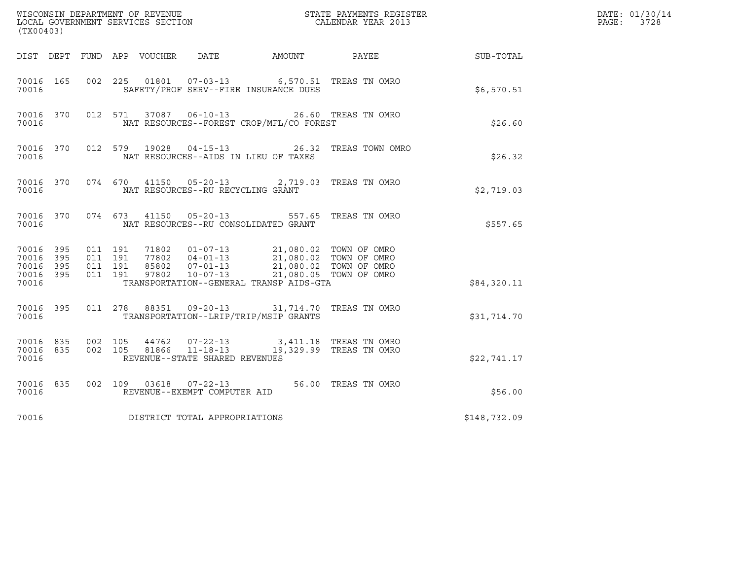| (TX00403)                                        |           |                    |                    |               |                                                        |                                          | $\tt WISCONSIM DEPARTMENT OF REVENUE$ $\tt WISCONSIMENTS REGISTER$<br>LOCAL GOVERNMENT SERVICES SECTION $\tt CALENDAR YEAR$ 2013                                                                                                                                                                               |                                                        | DATE: 01/30/14<br>$\mathtt{PAGE}$ :<br>3728 |
|--------------------------------------------------|-----------|--------------------|--------------------|---------------|--------------------------------------------------------|------------------------------------------|----------------------------------------------------------------------------------------------------------------------------------------------------------------------------------------------------------------------------------------------------------------------------------------------------------------|--------------------------------------------------------|---------------------------------------------|
|                                                  |           |                    |                    |               |                                                        |                                          |                                                                                                                                                                                                                                                                                                                | DIST DEPT FUND APP VOUCHER DATE AMOUNT PAYEE SUB-TOTAL |                                             |
| 70016                                            | 70016 165 |                    |                    |               |                                                        | SAFETY/PROF SERV--FIRE INSURANCE DUES    | 002 225 01801 07-03-13 6,570.51 TREAS TN OMRO                                                                                                                                                                                                                                                                  | \$6,570.51                                             |                                             |
| 70016                                            | 70016 370 |                    | 012 571            |               |                                                        | NAT RESOURCES--FOREST CROP/MFL/CO FOREST | 37087  06-10-13  26.60  TREAS TN OMRO                                                                                                                                                                                                                                                                          | \$26.60                                                |                                             |
| 70016                                            | 70016 370 |                    |                    | 012 579 19028 |                                                        | NAT RESOURCES--AIDS IN LIEU OF TAXES     | 04-15-13 26.32 TREAS TOWN OMRO                                                                                                                                                                                                                                                                                 | \$26.32                                                |                                             |
| 70016                                            | 70016 370 |                    |                    |               | NAT RESOURCES--RU RECYCLING GRANT                      |                                          | 074 670 41150 05-20-13 2,719.03 TREAS TN OMRO                                                                                                                                                                                                                                                                  | \$2,719.03                                             |                                             |
| 70016                                            | 70016 370 |                    |                    |               |                                                        | NAT RESOURCES--RU CONSOLIDATED GRANT     | 074 673 41150 05-20-13 557.65 TREAS TN OMRO                                                                                                                                                                                                                                                                    | \$557.65                                               |                                             |
| 70016 395<br>70016 395<br>70016 395<br>70016 395 |           | 011 191<br>011 191 | 011 191<br>011 191 |               |                                                        |                                          | $\begin{array}{cccc} 71802 & 01\hbox{-}07\hbox{-}13 & 21,080.02 & \text{TOWN OF OMRO} \\ 77802 & 04\hbox{-}01\hbox{-}13 & 21,080.02 & \text{TOWN OF OMRO} \\ 85802 & 07\hbox{-}01\hbox{-}13 & 21,080.02 & \text{TOWN OF OMRO} \\ 97802 & 10\hbox{-}07\hbox{-}13 & 21,080.05 & \text{TOWN OF OMRO} \end{array}$ |                                                        |                                             |
| 70016                                            |           |                    |                    |               |                                                        | TRANSPORTATION--GENERAL TRANSP AIDS-GTA  |                                                                                                                                                                                                                                                                                                                | \$84,320.11                                            |                                             |
| 70016                                            | 70016 395 |                    |                    |               |                                                        | TRANSPORTATION--LRIP/TRIP/MSIP GRANTS    | 011 278 88351 09-20-13 31,714.70 TREAS TN OMRO                                                                                                                                                                                                                                                                 | \$31,714.70                                            |                                             |
| 70016 835<br>70016 835<br>70016                  |           | 002 105<br>002 105 |                    |               | REVENUE--STATE SHARED REVENUES                         |                                          | 44762  07-22-13  3,411.18  TREAS TN OMRO<br>81866  11-18-13   19,329.99  TREAS TN OMRO                                                                                                                                                                                                                         | \$22,741.17                                            |                                             |
| 70016                                            | 70016 835 |                    |                    |               | 002 109 03618 07-22-13<br>REVENUE--EXEMPT COMPUTER AID |                                          | 56.00 TREAS TN OMRO                                                                                                                                                                                                                                                                                            | \$56.00                                                |                                             |
| 70016                                            |           |                    |                    |               | DISTRICT TOTAL APPROPRIATIONS                          |                                          |                                                                                                                                                                                                                                                                                                                | \$148,732.09                                           |                                             |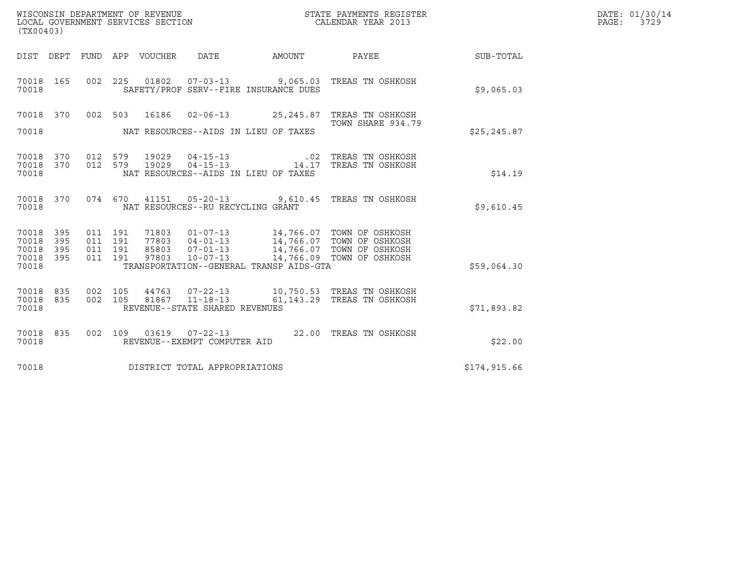| (TX00403)                                 |                          |                                          |         | WISCONSIN DEPARTMENT OF REVENUE<br>LOCAL GOVERNMENT SERVICES SECTION |                                                                                               |        | STATE PAYMENTS REGISTER<br>CALENDAR YEAR 2013                                                                                      |              | DATE: 01/30/14<br>PAGE: 3729 |
|-------------------------------------------|--------------------------|------------------------------------------|---------|----------------------------------------------------------------------|-----------------------------------------------------------------------------------------------|--------|------------------------------------------------------------------------------------------------------------------------------------|--------------|------------------------------|
|                                           |                          |                                          |         | DIST DEPT FUND APP VOUCHER                                           | DATE                                                                                          | AMOUNT | PAYEE                                                                                                                              | SUB-TOTAL    |                              |
| 70018 165<br>70018                        |                          |                                          |         |                                                                      | SAFETY/PROF SERV--FIRE INSURANCE DUES                                                         |        | 002 225 01802 07-03-13 9,065.03 TREAS TN OSHKOSH                                                                                   | \$9,065.03   |                              |
| 70018                                     | 370                      | 002 503                                  |         | 16186                                                                |                                                                                               |        | 02-06-13 25,245.87 TREAS TN OSHKOSH                                                                                                |              |                              |
| 70018                                     |                          |                                          |         |                                                                      | NAT RESOURCES--AIDS IN LIEU OF TAXES                                                          |        | TOWN SHARE 934.79                                                                                                                  | \$25, 245.87 |                              |
| 70018<br>70018<br>70018                   | 370<br>370               | 012 579                                  | 012 579 | 19029                                                                | $04 - 15 - 13$<br>19029  04-15-13   14.17<br>NAT RESOURCES--AIDS IN LIEU OF TAXES             | .02    | TREAS TN OSHKOSH<br>TREAS TN OSHKOSH                                                                                               | \$14.19      |                              |
| 70018 370<br>70018                        |                          |                                          | 074 670 |                                                                      | NAT RESOURCES--RU RECYCLING GRANT                                                             |        | 41151  05-20-13  9,610.45  TREAS TN OSHKOSH                                                                                        | \$9,610.45   |                              |
| 70018<br>70018<br>70018<br>70018<br>70018 | 395<br>395<br>395<br>395 | 011 191<br>011 191<br>011 191<br>011 191 |         | 71803<br>85803<br>97803                                              | 77803 04-01-13<br>$07 - 01 - 13$<br>$10 - 07 - 13$<br>TRANSPORTATION--GENERAL TRANSP AIDS-GTA |        | 01-07-13 14,766.07 TOWN OF OSHKOSH<br>04-01-13 14,766.07 TOWN OF OSHKOSH<br>14,766.07 TOWN OF OSHKOSH<br>14,766.09 TOWN OF OSHKOSH | \$59,064.30  |                              |
| 70018<br>70018<br>70018                   | 835<br>835               | 002 105<br>002 105                       |         | 44763                                                                | $07 - 22 - 13$<br>81867 11-18-13<br>REVENUE--STATE SHARED REVENUES                            |        | 10,750.53 TREAS TN OSHKOSH<br>61,143.29 TREAS TN OSHKOSH                                                                           | \$71,893.82  |                              |
| 70018<br>70018                            | 835                      |                                          | 002 109 |                                                                      | REVENUE--EXEMPT COMPUTER AID                                                                  |        |                                                                                                                                    | \$22.00      |                              |
| 70018                                     |                          |                                          |         |                                                                      | DISTRICT TOTAL APPROPRIATIONS                                                                 |        |                                                                                                                                    | \$174,915.66 |                              |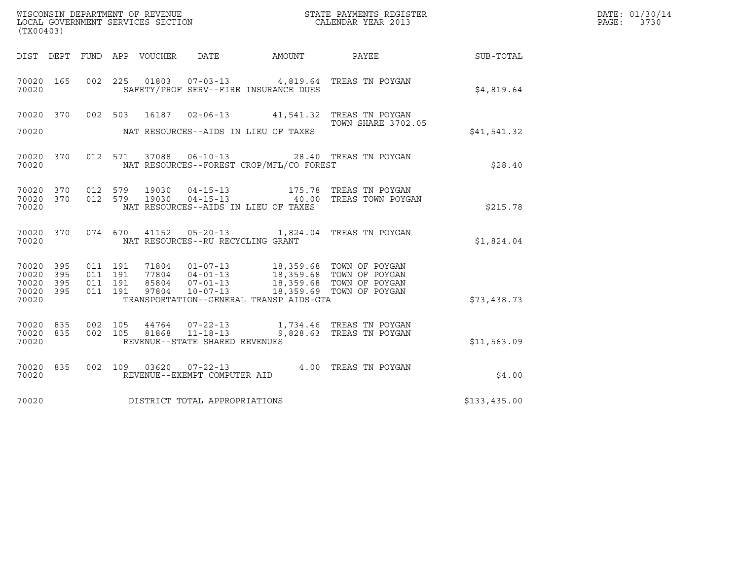|                                                           |                               |                                                 |                                                  |                                          |                                                                                                                                                                                                                                                                                                                                                      |                  | DATE: 01/30/14           |
|-----------------------------------------------------------|-------------------------------|-------------------------------------------------|--------------------------------------------------|------------------------------------------|------------------------------------------------------------------------------------------------------------------------------------------------------------------------------------------------------------------------------------------------------------------------------------------------------------------------------------------------------|------------------|--------------------------|
| (TX00403)                                                 |                               |                                                 |                                                  |                                          |                                                                                                                                                                                                                                                                                                                                                      |                  | $\mathtt{PAGE:}$<br>3730 |
|                                                           |                               | DIST DEPT FUND APP VOUCHER DATE                 |                                                  | AMOUNT                                   | PAYEE                                                                                                                                                                                                                                                                                                                                                | <b>SUB-TOTAL</b> |                          |
| 70020 165<br>70020                                        |                               |                                                 |                                                  | SAFETY/PROF SERV--FIRE INSURANCE DUES    | 002 225 01803 07-03-13 4,819.64 TREAS TN POYGAN                                                                                                                                                                                                                                                                                                      | \$4,819.64       |                          |
| 70020 370<br>70020                                        |                               | 002 503<br>NAT RESOURCES--AIDS IN LIEU OF TAXES |                                                  |                                          | 16187  02-06-13  41,541.32  TREAS TN POYGAN<br><b>TOWN SHARE 3702.05</b>                                                                                                                                                                                                                                                                             | \$41,541.32      |                          |
| 70020 370<br>70020                                        |                               |                                                 |                                                  | NAT RESOURCES--FOREST CROP/MFL/CO FOREST | 012 571 37088 06-10-13 28.40 TREAS TN POYGAN                                                                                                                                                                                                                                                                                                         | \$28.40          |                          |
| 70020 370<br>70020 370<br>70020                           | 012 579<br>012 579            | 19030<br>19030                                  |                                                  | NAT RESOURCES--AIDS IN LIEU OF TAXES     | 04-15-13 175.78 TREAS TN POYGAN<br>04-15-13 40.00 TREAS TOWN POYGAN                                                                                                                                                                                                                                                                                  | \$215.78         |                          |
| 70020 370<br>70020                                        |                               |                                                 | NAT RESOURCES--RU RECYCLING GRANT                |                                          | 074 670 41152 05-20-13 1,824.04 TREAS TN POYGAN                                                                                                                                                                                                                                                                                                      | \$1,824.04       |                          |
| 70020 395<br>70020 395<br>70020 395<br>70020 395<br>70020 | 011 191<br>011 191<br>011 191 | 011 191                                         |                                                  | TRANSPORTATION--GENERAL TRANSP AIDS-GTA  | $\begin{array}{cccc} 71804 & 01\hbox{-}07\hbox{-}13 & 18\hbox{/}359\hbox{-}68 & \text{TOWN OF POYGAN} \\ 77804 & 04\hbox{-}01\hbox{-}13 & 18\hbox{/}359\hbox{-}68 & \text{TOWN OF POYGAN} \\ 85804 & 07\hbox{-}01\hbox{-}13 & 18\hbox{/}359\hbox{-}68 & \text{TOWN OF POYGAN} \\ 97804 & 10\hbox{-}07\hbox{-}13 & 18\hbox{/}359\hbox{-}69 & \text{T$ | \$73,438.73      |                          |
| 70020 835<br>70020 835<br>70020                           | 002 105<br>002 105            | 81868                                           | $11 - 18 - 13$<br>REVENUE--STATE SHARED REVENUES |                                          | 44764  07-22-13   1,734.46   TREAS TN POYGAN<br>9,828.63 TREAS TN POYGAN                                                                                                                                                                                                                                                                             | \$11,563.09      |                          |
| 70020 835<br>70020                                        |                               |                                                 | REVENUE--EXEMPT COMPUTER AID                     |                                          | 002 109 03620 07-22-13 4.00 TREAS TN POYGAN                                                                                                                                                                                                                                                                                                          | \$4.00           |                          |
| 70020                                                     |                               | DISTRICT TOTAL APPROPRIATIONS                   |                                                  |                                          |                                                                                                                                                                                                                                                                                                                                                      | \$133,435.00     |                          |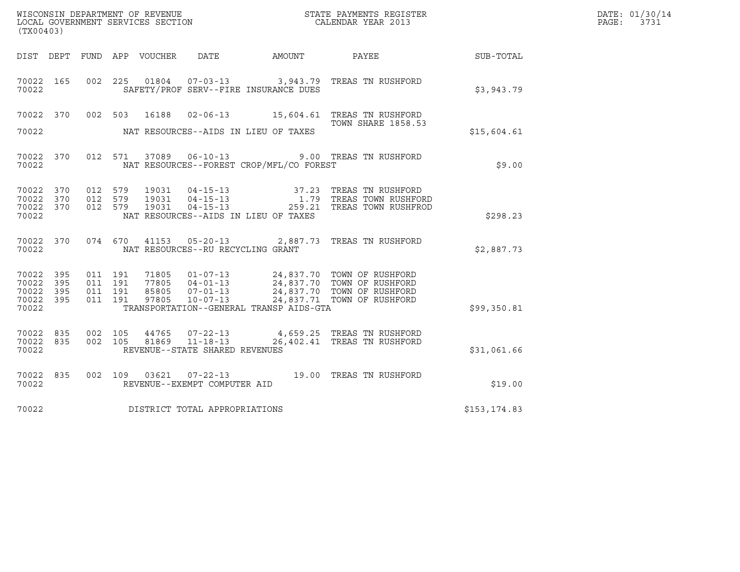| (TX00403)                                         |            |                                          |         |                                  |                                                                    |                                          | ${\tt WISCOONSIM\ DEPARTMENT\ OF\ REVENUE}\qquad \qquad {\tt STATE\ PAYMENTS\ REGISTER\ LOCAL\ GOVERNMENT\ SERVICES\ SECTION\qquad \qquad {\tt CALENDAR\ YEAR\ 2013}$ |              | DATE: 01/30/14<br>PAGE:<br>3731 |
|---------------------------------------------------|------------|------------------------------------------|---------|----------------------------------|--------------------------------------------------------------------|------------------------------------------|-----------------------------------------------------------------------------------------------------------------------------------------------------------------------|--------------|---------------------------------|
| DIST DEPT                                         |            |                                          |         | FUND APP VOUCHER                 |                                                                    | DATE AMOUNT PAYEE                        |                                                                                                                                                                       | SUB-TOTAL    |                                 |
| 70022 165<br>70022                                |            | 002 225                                  |         |                                  |                                                                    | SAFETY/PROF SERV--FIRE INSURANCE DUES    | 01804  07-03-13  3,943.79  TREAS TN RUSHFORD                                                                                                                          | \$3,943.79   |                                 |
| 70022 370<br>70022                                |            |                                          | 002 503 |                                  |                                                                    | NAT RESOURCES--AIDS IN LIEU OF TAXES     | 16188  02-06-13    15,604.61    TREAS TN RUSHFORD<br><b>TOWN SHARE 1858.53</b>                                                                                        | \$15,604.61  |                                 |
|                                                   |            |                                          |         |                                  |                                                                    |                                          |                                                                                                                                                                       |              |                                 |
| 70022 370<br>70022                                |            |                                          |         |                                  | 012 571 37089 06-10-13                                             | NAT RESOURCES--FOREST CROP/MFL/CO FOREST | 9.00 TREAS TN RUSHFORD                                                                                                                                                | \$9.00       |                                 |
| 70022 370<br>70022 370<br>70022 370<br>70022      |            | 012 579<br>012 579<br>012 579            |         | 19031<br>19031<br>19031          |                                                                    | NAT RESOURCES--AIDS IN LIEU OF TAXES     | 37.23 TREAS TN RUSHFORD                                                                                                                                               | \$298.23     |                                 |
| 70022                                             | 70022 370  |                                          |         |                                  | NAT RESOURCES--RU RECYCLING GRANT                                  |                                          | 074 670 41153 05-20-13 2,887.73 TREAS TN RUSHFORD                                                                                                                     | \$2,887.73   |                                 |
| 70022 395<br>70022<br>70022<br>70022 395<br>70022 | 395<br>395 | 011 191<br>011 191<br>011 191<br>011 191 |         | 71805<br>77805<br>85805<br>97805 | $10 - 07 - 13$                                                     | TRANSPORTATION--GENERAL TRANSP AIDS-GTA  | 01-07-13 24,837.70 TOWN OF RUSHFORD<br>24,837.71 TOWN OF RUSHFORD                                                                                                     | \$99,350.81  |                                 |
| 70022 835<br>70022 835<br>70022                   |            | 002 105<br>002 105                       |         | 44765<br>81869                   | $07 - 22 - 13$<br>$11 - 18 - 13$<br>REVENUE--STATE SHARED REVENUES |                                          | 4,659.25 TREAS TN RUSHFORD<br>26,402.41 TREAS TN RUSHFORD                                                                                                             | \$31,061.66  |                                 |
| 70022 835<br>70022                                |            |                                          |         |                                  | REVENUE--EXEMPT COMPUTER AID                                       |                                          | 002 109 03621 07-22-13 19.00 TREAS TN RUSHFORD                                                                                                                        | \$19.00      |                                 |
| 70022                                             |            |                                          |         |                                  | DISTRICT TOTAL APPROPRIATIONS                                      |                                          |                                                                                                                                                                       | \$153,174.83 |                                 |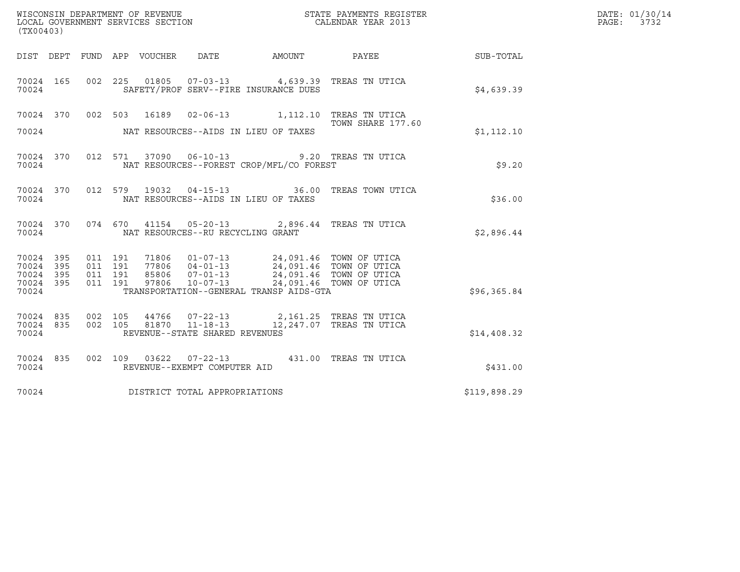| (TX00403)                                     |                   |                               | LOCAL GOVERNMENT SERVICES SECTION |                                   |                                                                                                                                                                                |                                         |              | DATE: 01/30/14<br>PAGE:<br>3732 |
|-----------------------------------------------|-------------------|-------------------------------|-----------------------------------|-----------------------------------|--------------------------------------------------------------------------------------------------------------------------------------------------------------------------------|-----------------------------------------|--------------|---------------------------------|
|                                               | DIST DEPT         |                               | FUND APP VOUCHER                  | DATE                              |                                                                                                                                                                                | AMOUNT PAYEE                            | SUB-TOTAL    |                                 |
| 70024 165<br>70024                            |                   |                               |                                   |                                   | 002 225 01805 07-03-13 4,639.39 TREAS TN UTICA<br>SAFETY/PROF SERV--FIRE INSURANCE DUES                                                                                        |                                         | \$4,639.39   |                                 |
|                                               |                   |                               |                                   |                                   | 70024 370 002 503 16189 02-06-13 1,112.10 TREAS TN UTICA                                                                                                                       | TOWN SHARE 177.60                       |              |                                 |
| 70024                                         |                   |                               |                                   |                                   | NAT RESOURCES--AIDS IN LIEU OF TAXES                                                                                                                                           |                                         | \$1,112,10   |                                 |
| 70024 370<br>70024                            |                   |                               |                                   |                                   | 012 571 37090 06-10-13 9.20 TREAS TN UTICA<br>NAT RESOURCES--FOREST CROP/MFL/CO FOREST                                                                                         |                                         | \$9.20       |                                 |
| 70024                                         | 70024 370         |                               | 012 579                           |                                   | NAT RESOURCES--AIDS IN LIEU OF TAXES                                                                                                                                           | 19032  04-15-13  36.00 TREAS TOWN UTICA | \$36.00      |                                 |
| 70024                                         | 70024 370         |                               |                                   | NAT RESOURCES--RU RECYCLING GRANT | 074 670 41154 05-20-13 2,896.44 TREAS TN UTICA                                                                                                                                 |                                         | \$2,896.44   |                                 |
| 70024 395<br>70024<br>70024<br>70024<br>70024 | 395<br>395<br>395 | 011 191<br>011 191<br>011 191 | 011 191<br>97806                  | $10 - 07 - 13$                    | 71806  01-07-13  24,091.46  TOWN OF UTICA<br>77806  04-01-13  24,091.46  TOWN OF UTICA<br>85806  07-01-13  24,091.46  TOWN OF UTICA<br>TRANSPORTATION--GENERAL TRANSP AIDS-GTA | 24,091.46 TOWN OF UTICA                 | \$96,365.84  |                                 |
| 70024 835<br>70024 835<br>70024               |                   | 002 105                       | 002 105                           | REVENUE--STATE SHARED REVENUES    | 44766  07-22-13  2,161.25 TREAS TN UTICA<br>81870  11-18-13  12,247.07 TREAS TN UTICA                                                                                          |                                         | \$14,408.32  |                                 |
| 70024                                         | 70024 835         |                               |                                   | REVENUE--EXEMPT COMPUTER AID      | 002 109 03622 07-22-13 431.00 TREAS TN UTICA                                                                                                                                   |                                         | \$431.00     |                                 |
| 70024                                         |                   |                               | DISTRICT TOTAL APPROPRIATIONS     |                                   |                                                                                                                                                                                |                                         | \$119,898.29 |                                 |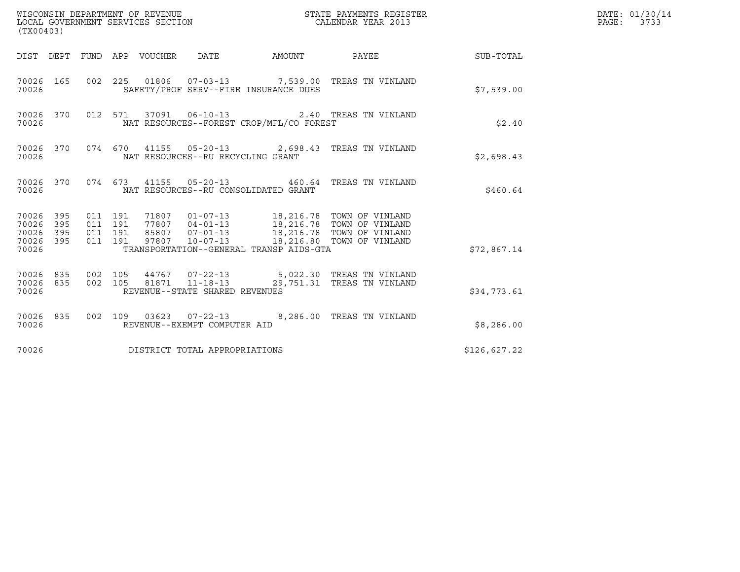| (TX00403)                                         |            |                    |                               |                                                        |                                          |                                                                                                                                                                                 |              | DATE: 01/30/14<br>PAGE: 3733 |
|---------------------------------------------------|------------|--------------------|-------------------------------|--------------------------------------------------------|------------------------------------------|---------------------------------------------------------------------------------------------------------------------------------------------------------------------------------|--------------|------------------------------|
|                                                   |            |                    |                               | DIST DEPT FUND APP VOUCHER DATE                        | AMOUNT                                   | PAYEE                                                                                                                                                                           | SUB-TOTAL    |                              |
| 70026                                             | 70026 165  |                    |                               | SAFETY/PROF SERV--FIRE INSURANCE DUES                  |                                          | 002 225 01806 07-03-13 7,539.00 TREAS TN VINLAND                                                                                                                                | \$7,539.00   |                              |
| 70026                                             | 70026 370  |                    |                               | 012 571 37091 06-10-13                                 | NAT RESOURCES--FOREST CROP/MFL/CO FOREST | 2.40 TREAS TN VINLAND                                                                                                                                                           | \$2.40       |                              |
| 70026                                             | 70026 370  |                    |                               | NAT RESOURCES--RU RECYCLING GRANT                      |                                          | 074 670 41155 05-20-13 2,698.43 TREAS TN VINLAND                                                                                                                                | \$2,698.43   |                              |
| 70026                                             | 70026 370  |                    |                               | NAT RESOURCES--RU CONSOLIDATED GRANT                   |                                          | 074 673 41155 05-20-13 460.64 TREAS TN VINLAND                                                                                                                                  | \$460.64     |                              |
| 70026 395<br>70026<br>70026<br>70026 395<br>70026 | 395<br>395 | 011 191            | 011 191<br>011 191<br>011 191 |                                                        | TRANSPORTATION--GENERAL TRANSP AIDS-GTA  | 71807  01-07-13  18,216.78  TOWN OF VINLAND<br>77807 04-01-13 18,216.78 TOWN OF VINLAND<br>85807 07-01-13 18,216.78 TOWN OF VINLAND<br>97807 10-07-13 18,216.80 TOWN OF VINLAND | \$72,867.14  |                              |
| 70026 835<br>70026 835<br>70026                   |            | 002 105<br>002 105 |                               | 81871  11-18-13<br>REVENUE--STATE SHARED REVENUES      |                                          | 44767  07-22-13  5,022.30 TREAS TN VINLAND<br>29,751.31 TREAS TN VINLAND                                                                                                        | \$34,773.61  |                              |
| 70026                                             | 70026 835  |                    |                               | 002 109 03623 07-22-13<br>REVENUE--EXEMPT COMPUTER AID |                                          | 8,286.00 TREAS TN VINLAND                                                                                                                                                       | \$8,286.00   |                              |
| 70026                                             |            |                    |                               | DISTRICT TOTAL APPROPRIATIONS                          |                                          |                                                                                                                                                                                 | \$126,627.22 |                              |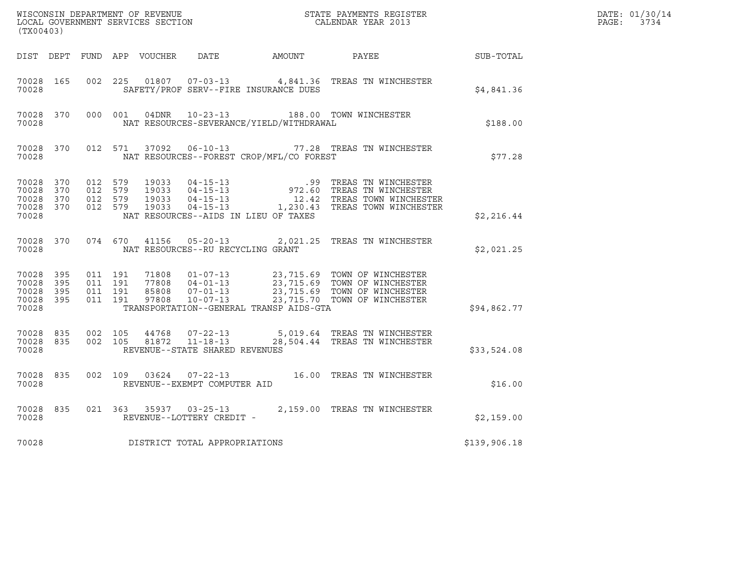| (TX00403)                                                 |                        |                    |                    |                                                   |                                          | ${\tt WISCONSIM\ DEPARTMENT\ OF\ REVENUE}\qquad \qquad {\tt STATE\ PAYMENTS\ REGISTER\ LOCAL\ GOVERNMENT\ SERVICES\ SECTION\qquad \qquad {\tt CALENDAR\ YEAR\ 2013}}$                         |              | DATE: 01/30/14<br>PAGE: 3734 |
|-----------------------------------------------------------|------------------------|--------------------|--------------------|---------------------------------------------------|------------------------------------------|-----------------------------------------------------------------------------------------------------------------------------------------------------------------------------------------------|--------------|------------------------------|
|                                                           |                        |                    |                    |                                                   |                                          | DIST DEPT FUND APP VOUCHER DATE AMOUNT PAYEE SUB-TOTAL                                                                                                                                        |              |                              |
| 70028 165<br>70028                                        |                        | 002 225            |                    |                                                   | SAFETY/PROF SERV--FIRE INSURANCE DUES    | 01807  07-03-13  4,841.36  TREAS TN WINCHESTER                                                                                                                                                | \$4,841.36   |                              |
| 70028                                                     | 70028 370              |                    | 000 001            |                                                   | NAT RESOURCES-SEVERANCE/YIELD/WITHDRAWAL | 04DNR  10-23-13  188.00 TOWN WINCHESTER                                                                                                                                                       | \$188.00     |                              |
| 70028                                                     | 70028 370              |                    |                    |                                                   | NAT RESOURCES--FOREST CROP/MFL/CO FOREST | 012 571 37092 06-10-13 77.28 TREAS TN WINCHESTER                                                                                                                                              | \$77.28      |                              |
| 70028 370<br>70028 370<br>70028 370<br>70028 370<br>70028 |                        | 012 579<br>012 579 | 012 579<br>012 579 |                                                   | NAT RESOURCES--AIDS IN LIEU OF TAXES     | 19033  04-15-13  99  TREAS TN WINCHESTER<br>19033  04-15-13  972.60  TREAS TN WINCHESTER<br>19033  04-15-13  12.42  TREAS TOWN WINCHESTER<br>19033  04-15-13  1,230.43  TREAS TOWN WINCHESTER | \$2,216.44   |                              |
| 70028                                                     | 70028 370              |                    |                    | NAT RESOURCES--RU RECYCLING GRANT                 |                                          | 074 670 41156 05-20-13 2,021.25 TREAS TN WINCHESTER                                                                                                                                           | \$2,021.25   |                              |
| 70028 395<br>70028<br>70028 395<br>70028                  | 395<br>70028 395       | 011 191<br>011 191 | 011 191<br>011 191 |                                                   | TRANSPORTATION--GENERAL TRANSP AIDS-GTA  |                                                                                                                                                                                               | \$94,862.77  |                              |
| 70028                                                     | 70028 835<br>70028 835 | 002 105            | 002 105            | 81872  11-18-13<br>REVENUE--STATE SHARED REVENUES |                                          | 44768  07-22-13  5,019.64  TREAS TN WINCHESTER<br>28,504.44 TREAS TN WINCHESTER                                                                                                               | \$33,524.08  |                              |
| 70028 835<br>70028                                        |                        |                    |                    | REVENUE--EXEMPT COMPUTER AID                      |                                          | 002 109 03624 07-22-13 16.00 TREAS TN WINCHESTER                                                                                                                                              | \$16.00      |                              |
| 70028                                                     | 70028 835              |                    |                    | REVENUE--LOTTERY CREDIT -                         |                                          | 021 363 35937 03-25-13 2,159.00 TREAS TN WINCHESTER                                                                                                                                           | \$2,159.00   |                              |
| 70028                                                     |                        |                    |                    | DISTRICT TOTAL APPROPRIATIONS                     |                                          |                                                                                                                                                                                               | \$139,906.18 |                              |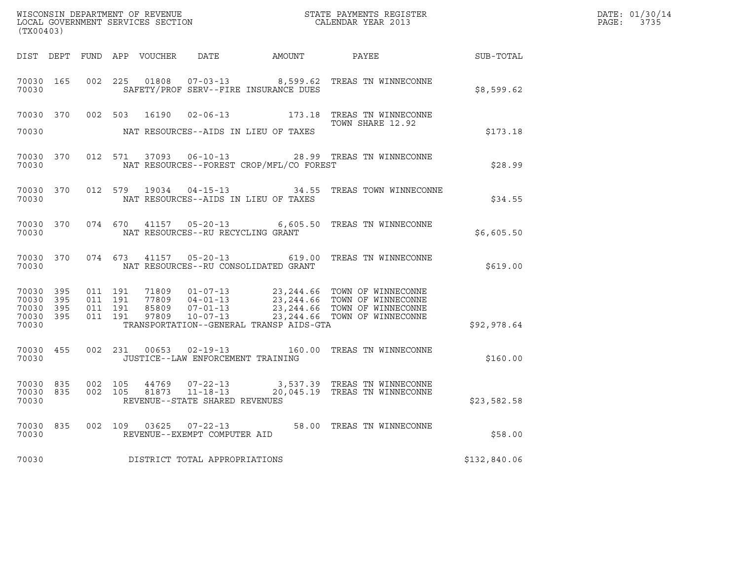| (TX00403)                                                 |                        |         |                               | WISCONSIN DEPARTMENT OF REVENUE<br>LOCAL GOVERNMENT SERVICES SECTION |                                   |                                          | STATE PAYMENTS REGISTER<br>CALENDAR YEAR 2013                                                                                                                                   |              | DATE: 01/30/14<br>PAGE: 3735 |
|-----------------------------------------------------------|------------------------|---------|-------------------------------|----------------------------------------------------------------------|-----------------------------------|------------------------------------------|---------------------------------------------------------------------------------------------------------------------------------------------------------------------------------|--------------|------------------------------|
|                                                           |                        |         |                               |                                                                      |                                   |                                          | DIST DEPT FUND APP VOUCHER DATE AMOUNT PAYEE TO SUB-TOTAL                                                                                                                       |              |                              |
| 70030 165<br>70030                                        |                        |         | 002 225                       |                                                                      |                                   | SAFETY/PROF SERV--FIRE INSURANCE DUES    | 01808  07-03-13  8,599.62  TREAS TN WINNECONNE                                                                                                                                  | \$8,599.62   |                              |
|                                                           |                        |         |                               |                                                                      |                                   |                                          | 70030 370 002 503 16190 02-06-13 173.18 TREAS TN WINNECONNE<br>TOWN SHARE 12.92                                                                                                 |              |                              |
| 70030                                                     |                        |         |                               |                                                                      |                                   | NAT RESOURCES--AIDS IN LIEU OF TAXES     |                                                                                                                                                                                 | \$173.18     |                              |
| 70030                                                     | 70030 370              |         |                               |                                                                      |                                   | NAT RESOURCES--FOREST CROP/MFL/CO FOREST | 012 571 37093 06-10-13 28.99 TREAS TN WINNECONNE                                                                                                                                | \$28.99      |                              |
| 70030                                                     | 70030 370              | 012 579 |                               |                                                                      |                                   | NAT RESOURCES--AIDS IN LIEU OF TAXES     | 19034  04-15-13  34.55  TREAS TOWN WINNECONNE                                                                                                                                   | \$34.55      |                              |
| 70030                                                     |                        |         |                               |                                                                      | NAT RESOURCES--RU RECYCLING GRANT |                                          | 70030 370 074 670 41157 05-20-13 6,605.50 TREAS TN WINNECONNE                                                                                                                   | \$6,605.50   |                              |
| 70030                                                     |                        |         |                               |                                                                      |                                   | NAT RESOURCES--RU CONSOLIDATED GRANT     | 70030 370 074 673 41157 05-20-13 619.00 TREAS TN WINNECONNE                                                                                                                     | \$619.00     |                              |
| 70030 395<br>70030 395<br>70030 395<br>70030 395<br>70030 |                        | 011 191 | 011 191<br>011 191<br>011 191 |                                                                      |                                   | TRANSPORTATION--GENERAL TRANSP AIDS-GTA  |                                                                                                                                                                                 | \$92,978.64  |                              |
| 70030                                                     | 70030 455              |         |                               |                                                                      | JUSTICE--LAW ENFORCEMENT TRAINING |                                          | 002 231 00653 02-19-13 160.00 TREAS TN WINNECONNE                                                                                                                               | \$160.00     |                              |
| 70030                                                     | 70030 835<br>70030 835 |         |                               |                                                                      | REVENUE--STATE SHARED REVENUES    |                                          | $\begin{array}{cccc} 002 & 105 & 44769 & 07-22-13 & 3,537.39 & \text{TREAS TN WINNECONNE} \\ 002 & 105 & 81873 & 11-18-13 & 20,045.19 & \text{TREAS TN WINNECONNE} \end{array}$ | \$23,582.58  |                              |
| 70030                                                     | 70030 835              |         |                               |                                                                      | REVENUE--EXEMPT COMPUTER AID      |                                          | 002  109  03625  07-22-13  58.00 TREAS TN WINNECONNE                                                                                                                            | \$58.00      |                              |
| 70030                                                     |                        |         |                               |                                                                      | DISTRICT TOTAL APPROPRIATIONS     |                                          |                                                                                                                                                                                 | \$132,840.06 |                              |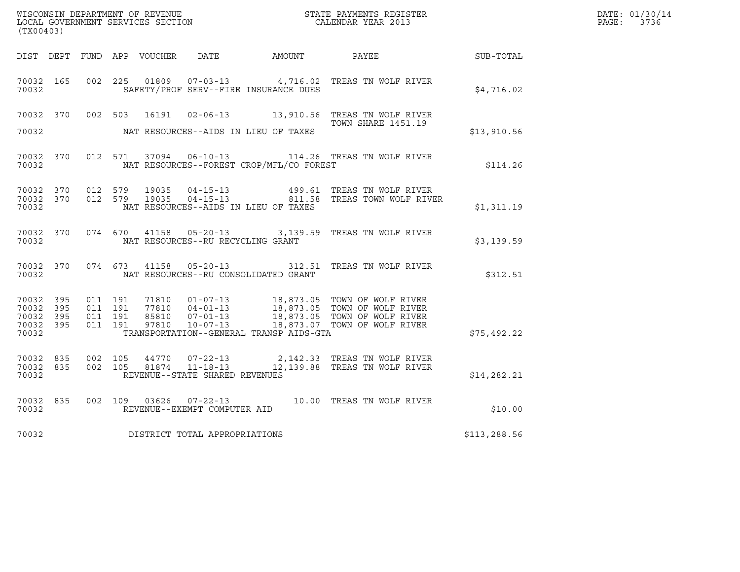| (TX00403)                                                 |           |                                          |                        |                                   |                                              | WISCONSIN DEPARTMENT OF REVENUE<br>LOCAL GOVERNMENT SERVICES SECTION<br>CALENDAR YEAR 2013                                                                                         |                  | DATE: 01/30/14<br>PAGE: 3736 |
|-----------------------------------------------------------|-----------|------------------------------------------|------------------------|-----------------------------------|----------------------------------------------|------------------------------------------------------------------------------------------------------------------------------------------------------------------------------------|------------------|------------------------------|
|                                                           |           |                                          |                        |                                   | DIST DEPT FUND APP VOUCHER DATE AMOUNT PAYEE |                                                                                                                                                                                    | <b>SUB-TOTAL</b> |                              |
| 70032 165<br>70032                                        |           | 002 225                                  | 01809                  |                                   | SAFETY/PROF SERV--FIRE INSURANCE DUES        | 07-03-13 4,716.02 TREAS TN WOLF RIVER                                                                                                                                              | \$4,716.02       |                              |
|                                                           |           |                                          |                        |                                   |                                              | 70032 370 002 503 16191 02-06-13 13,910.56 TREAS TN WOLF RIVER<br>TOWN SHARE 1451.19                                                                                               |                  |                              |
| 70032                                                     |           |                                          |                        |                                   | NAT RESOURCES--AIDS IN LIEU OF TAXES         |                                                                                                                                                                                    | \$13,910.56      |                              |
| 70032                                                     | 70032 370 |                                          |                        |                                   | NAT RESOURCES--FOREST CROP/MFL/CO FOREST     | 012 571 37094 06-10-13 114.26 TREAS TN WOLF RIVER                                                                                                                                  | \$114.26         |                              |
| 70032 370<br>70032                                        |           | 70032 370 012 579                        | 19035<br>012 579 19035 |                                   | NAT RESOURCES--AIDS IN LIEU OF TAXES         | 04-15-13                 499.61  TREAS TN WOLF RIVER<br>04-15-13               811.58   TREAS TOWN WOLF RIVER                                                                      | \$1,311.19       |                              |
| 70032                                                     |           |                                          |                        | NAT RESOURCES--RU RECYCLING GRANT |                                              | 70032 370 074 670 41158 05-20-13 3,139.59 TREAS TN WOLF RIVER                                                                                                                      | \$3,139.59       |                              |
| 70032                                                     | 70032 370 | 074 673                                  | 41158                  | $05 - 20 - 13$                    | NAT RESOURCES--RU CONSOLIDATED GRANT         | 312.51 TREAS TN WOLF RIVER                                                                                                                                                         | \$312.51         |                              |
| 70032 395<br>70032 395<br>70032 395<br>70032 395<br>70032 |           | 011 191<br>011 191<br>011 191<br>011 191 | 97810                  | 07-01-13<br>10-07-13              | TRANSPORTATION--GENERAL TRANSP AIDS-GTA      | 71810  01-07-13  18,873.05  TOWN OF WOLF RIVER<br>77810  04-01-13  18,873.05  TOWN OF WOLF RIVER<br>85810  07-01-13  18,873.05  TOWN OF WOLF RIVER<br>18,873.07 TOWN OF WOLF RIVER | \$75,492.22      |                              |
| 70032 835<br>70032 835<br>70032                           |           | 002 105<br>002 105                       | 81874                  | REVENUE--STATE SHARED REVENUES    |                                              | 44770  07-22-13  2,142.33  TREAS TN WOLF RIVER                                                                                                                                     | \$14, 282.21     |                              |
| 70032 835<br>70032                                        |           |                                          |                        | REVENUE--EXEMPT COMPUTER AID      |                                              | 002 109 03626 07-22-13 10.00 TREAS TN WOLF RIVER                                                                                                                                   | \$10.00          |                              |
| 70032                                                     |           |                                          |                        | DISTRICT TOTAL APPROPRIATIONS     |                                              |                                                                                                                                                                                    | \$113,288.56     |                              |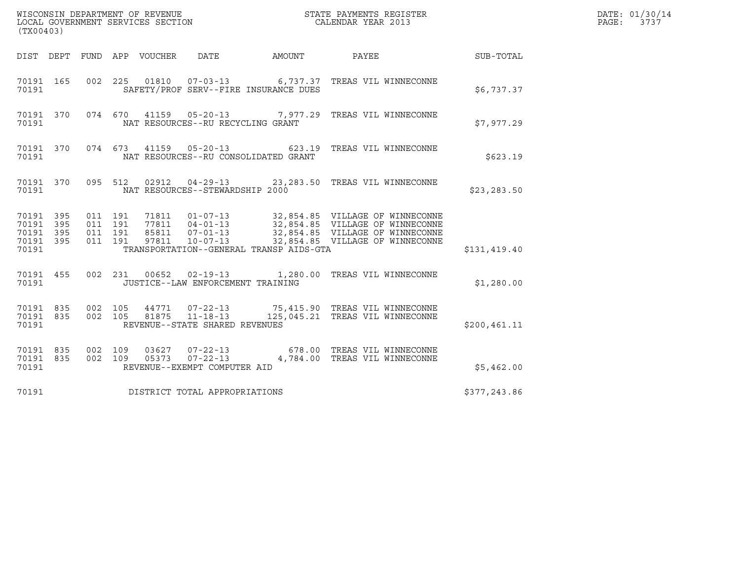| (TX00403)                                                 |                                          |         |                  | WISCONSIN DEPARTMENT OF REVENUE<br>LOCAL GOVERNMENT SERVICES SECTION |                                         | STATE PAYMENTS REGISTER<br>CALENDAR YEAR 2013                                                                                                           |               | DATE: 01/30/14<br>PAGE:<br>3737 |
|-----------------------------------------------------------|------------------------------------------|---------|------------------|----------------------------------------------------------------------|-----------------------------------------|---------------------------------------------------------------------------------------------------------------------------------------------------------|---------------|---------------------------------|
| DIST DEPT                                                 |                                          |         | FUND APP VOUCHER | DATE                                                                 | AMOUNT                                  | PAYEE                                                                                                                                                   | SUB-TOTAL     |                                 |
| 70191 165<br>70191                                        |                                          |         |                  |                                                                      | SAFETY/PROF SERV--FIRE INSURANCE DUES   | 002 225 01810 07-03-13 6,737.37 TREAS VIL WINNECONNE                                                                                                    | \$6,737.37    |                                 |
| 70191 370<br>70191                                        |                                          | 074 670 |                  | NAT RESOURCES--RU RECYCLING GRANT                                    |                                         | 41159  05-20-13  7,977.29  TREAS VIL WINNECONNE                                                                                                         | \$7,977.29    |                                 |
| 70191 370<br>70191                                        | 074 673                                  |         |                  | 41159 05-20-13                                                       | NAT RESOURCES--RU CONSOLIDATED GRANT    | 623.19 TREAS VIL WINNECONNE                                                                                                                             | \$623.19      |                                 |
| 70191 370<br>70191                                        |                                          | 095 512 |                  | NAT RESOURCES--STEWARDSHIP 2000                                      |                                         | 02912  04-29-13  23,283.50 TREAS VIL WINNECONNE                                                                                                         | \$23, 283.50  |                                 |
| 70191 395<br>70191 395<br>70191 395<br>70191 395<br>70191 | 011 191<br>011 191<br>011 191<br>011 191 |         | 85811<br>97811   | 71811  01-07-13<br>$07 - 01 - 13$<br>$10 - 07 - 13$                  | TRANSPORTATION--GENERAL TRANSP AIDS-GTA | 32,854.85 VILLAGE OF WINNECONNE<br>77811 04-01-13 32,854.85 VILLAGE OF WINNECONNE<br>32,854.85 VILLAGE OF WINNECONNE<br>32,854.85 VILLAGE OF WINNECONNE | \$131,419.40  |                                 |
| 70191 455<br>70191                                        |                                          |         |                  | 002 231 00652 02-19-13<br>JUSTICE--LAW ENFORCEMENT TRAINING          |                                         | 1,280.00 TREAS VIL WINNECONNE                                                                                                                           | \$1,280.00    |                                 |
| 70191 835<br>70191 835<br>70191                           | 002 105<br>002 105                       |         | 44771<br>81875   | $07 - 22 - 13$<br>$11 - 18 - 13$<br>REVENUE--STATE SHARED REVENUES   |                                         | 75,415.90 TREAS VIL WINNECONNE<br>125,045.21 TREAS VIL WINNECONNE                                                                                       | \$200, 461.11 |                                 |
| 70191 835<br>70191 835<br>70191                           | 002 109<br>002 109                       |         | 03627<br>05373   | $07 - 22 - 13$<br>$07 - 22 - 13$<br>REVENUE--EXEMPT COMPUTER AID     |                                         | 678.00 TREAS VIL WINNECONNE<br>4,784.00 TREAS VIL WINNECONNE                                                                                            | \$5,462.00    |                                 |
| 70191                                                     |                                          |         |                  | DISTRICT TOTAL APPROPRIATIONS                                        |                                         |                                                                                                                                                         | \$377,243.86  |                                 |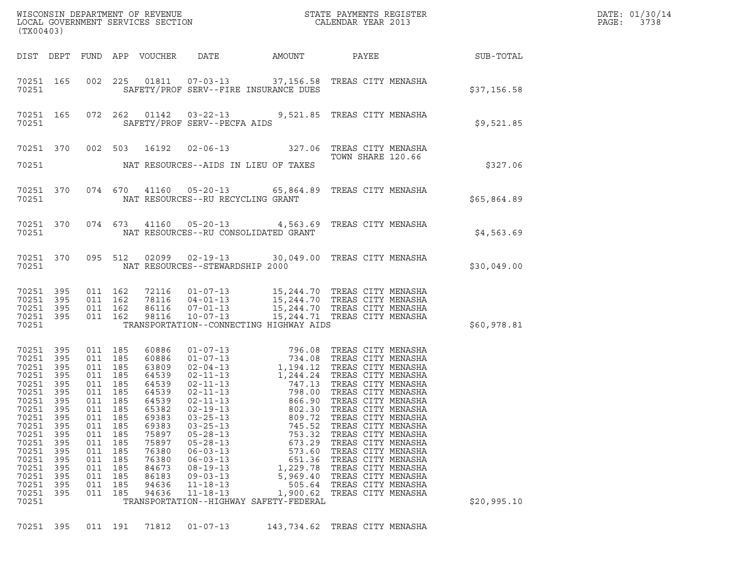| (TX00403)                                                                                                |                                                                                                                                                                              |                                                                           |                                                                                                                                                        |                                                                                                                                                                |                                                                                                                                                                                                    |                                                                                                                                                                                                                                                                                                                                                                                                                                    |                                                                                                                                                                                                                                                |                                                           | DATE: 01/30/14<br>$\mathtt{PAGE:}$<br>3738 |
|----------------------------------------------------------------------------------------------------------|------------------------------------------------------------------------------------------------------------------------------------------------------------------------------|---------------------------------------------------------------------------|--------------------------------------------------------------------------------------------------------------------------------------------------------|----------------------------------------------------------------------------------------------------------------------------------------------------------------|----------------------------------------------------------------------------------------------------------------------------------------------------------------------------------------------------|------------------------------------------------------------------------------------------------------------------------------------------------------------------------------------------------------------------------------------------------------------------------------------------------------------------------------------------------------------------------------------------------------------------------------------|------------------------------------------------------------------------------------------------------------------------------------------------------------------------------------------------------------------------------------------------|-----------------------------------------------------------|--------------------------------------------|
|                                                                                                          |                                                                                                                                                                              |                                                                           |                                                                                                                                                        |                                                                                                                                                                |                                                                                                                                                                                                    |                                                                                                                                                                                                                                                                                                                                                                                                                                    |                                                                                                                                                                                                                                                | DIST DEPT FUND APP VOUCHER DATE AMOUNT PAYEE TO SUB-TOTAL |                                            |
|                                                                                                          | 70251 165<br>70251                                                                                                                                                           |                                                                           |                                                                                                                                                        |                                                                                                                                                                |                                                                                                                                                                                                    | 002 225 01811 07-03-13 37,156.58 TREAS CITY MENASHA<br>SAFETY/PROF SERV--FIRE INSURANCE DUES                                                                                                                                                                                                                                                                                                                                       |                                                                                                                                                                                                                                                | \$37,156.58                                               |                                            |
|                                                                                                          | 70251                                                                                                                                                                        |                                                                           |                                                                                                                                                        |                                                                                                                                                                | SAFETY/PROF SERV--PECFA AIDS                                                                                                                                                                       | 70251 165 072 262 01142 03-22-13 9,521.85 TREAS CITY MENASHA                                                                                                                                                                                                                                                                                                                                                                       |                                                                                                                                                                                                                                                | \$9,521.85                                                |                                            |
|                                                                                                          |                                                                                                                                                                              |                                                                           |                                                                                                                                                        |                                                                                                                                                                |                                                                                                                                                                                                    | 70251 370 002 503 16192 02-06-13 327.06 TREAS CITY MENASHA<br>70251 NAT RESOURCES--AIDS IN LIEU OF TAXES                                                                                                                                                                                                                                                                                                                           | TOWN SHARE 120.66                                                                                                                                                                                                                              | \$327.06                                                  |                                            |
|                                                                                                          |                                                                                                                                                                              |                                                                           |                                                                                                                                                        |                                                                                                                                                                |                                                                                                                                                                                                    | 70251 370 074 670 41160 05-20-13 65,864.89 TREAS CITY MENASHA                                                                                                                                                                                                                                                                                                                                                                      |                                                                                                                                                                                                                                                |                                                           |                                            |
|                                                                                                          |                                                                                                                                                                              |                                                                           |                                                                                                                                                        |                                                                                                                                                                |                                                                                                                                                                                                    | 70251 NAT RESOURCES--RU RECYCLING GRANT<br>70251 370 074 673 41160 05-20-13 4,563.69 TREAS CITY MENASHA                                                                                                                                                                                                                                                                                                                            |                                                                                                                                                                                                                                                | \$65,864.89                                               |                                            |
|                                                                                                          |                                                                                                                                                                              |                                                                           |                                                                                                                                                        |                                                                                                                                                                |                                                                                                                                                                                                    | 70251 NAT RESOURCES--RU CONSOLIDATED GRANT                                                                                                                                                                                                                                                                                                                                                                                         |                                                                                                                                                                                                                                                | \$4,563.69                                                |                                            |
|                                                                                                          |                                                                                                                                                                              |                                                                           |                                                                                                                                                        |                                                                                                                                                                | 70251 NAT RESOURCES--STEWARDSHIP 2000                                                                                                                                                              | 70251 370 095 512 02099 02-19-13 30,049.00 TREAS CITY MENASHA                                                                                                                                                                                                                                                                                                                                                                      |                                                                                                                                                                                                                                                | \$30,049.00                                               |                                            |
| 70251                                                                                                    | 70251 395<br>70251 395<br>70251 395<br>70251 395                                                                                                                             |                                                                           |                                                                                                                                                        |                                                                                                                                                                |                                                                                                                                                                                                    | 011 162 72116 01-07-13 15,244.70 TREAS CITY MENASHA<br>011 162 78116 04-01-13 15,244.70 TREAS CITY MENASHA<br>011 162 86116 07-01-13 15,244.70 TREAS CITY MENASHA<br>011 162 18116 10-07-13 15,244.71 TREAS CITY MENASHA<br>TRANSPORTATION--CONNECTING HIGHWAY AIDS                                                                                                                                                                |                                                                                                                                                                                                                                                | \$60,978.81                                               |                                            |
| 70251<br>70251<br>70251<br>70251<br>70251<br>70251<br>70251<br>70251<br>70251<br>70251<br>70251<br>70251 | 70251 395<br>70251 395<br>70251 395<br>70251 395<br>70251 395<br>70251 395<br>70251 395<br>395<br>395<br>395<br>- 395<br>395<br>-395<br>395<br>- 395<br>395<br>- 395<br>-395 | 011<br>011<br>011<br>011<br>011<br>011<br>011<br>011<br>011<br>011<br>011 | 011 185<br>011 185<br>011 185<br>011 185<br>011 185<br>011 185<br>011 185<br>185<br>185<br>185<br>185<br>185<br>185<br>185<br>185<br>185<br>185<br>185 | 60886<br>60886<br>63809<br>64539<br>64539<br>64539<br>64539<br>65382<br>69383<br>69383<br>75897<br>75897<br>76380<br>76380<br>84673<br>86183<br>94636<br>94636 | $02 - 19 - 13$<br>$03 - 25 - 13$<br>$03 - 25 - 13$<br>$05 - 28 - 13$<br>$05 - 28 - 13$<br>$06 - 03 - 13$<br>$06 - 03 - 13$<br>$08 - 19 - 13$<br>$09 - 03 - 13$<br>$11 - 18 - 13$<br>$11 - 18 - 13$ | 01-07-13<br>01-07-13<br>01-07-13<br>02-04-13<br>1,194.12<br>1,244.24<br>TREAS CITY MENASHA<br>02-11-13<br>1,244.24<br>TREAS CITY MENASHA<br>02-11-13<br>747.13<br>78.00<br>TREAS CITY MENASHA<br>02-11-13<br>798.00<br>TREAS CITY MENASHA<br>02-11-13<br>866.90<br>T<br>802.30<br>809.72<br>745.52<br>753.32<br>673.29<br>573.60<br>651.36<br>1,229.78<br>5,969.40<br>505.64<br>1,900.62<br>TRANSPORTATION--HIGHWAY SAFETY-FEDERAL | TREAS CITY MENASHA<br>TREAS CITY MENASHA<br>TREAS CITY MENASHA<br>TREAS CITY MENASHA<br>TREAS CITY MENASHA<br>TREAS CITY MENASHA<br>TREAS CITY MENASHA<br>TREAS CITY MENASHA<br>TREAS CITY MENASHA<br>TREAS CITY MENASHA<br>TREAS CITY MENASHA | \$20,995.10                                               |                                            |
|                                                                                                          | 70251 395                                                                                                                                                                    |                                                                           | 011 191                                                                                                                                                | 71812                                                                                                                                                          | $01 - 07 - 13$                                                                                                                                                                                     |                                                                                                                                                                                                                                                                                                                                                                                                                                    | 143,734.62 TREAS CITY MENASHA                                                                                                                                                                                                                  |                                                           |                                            |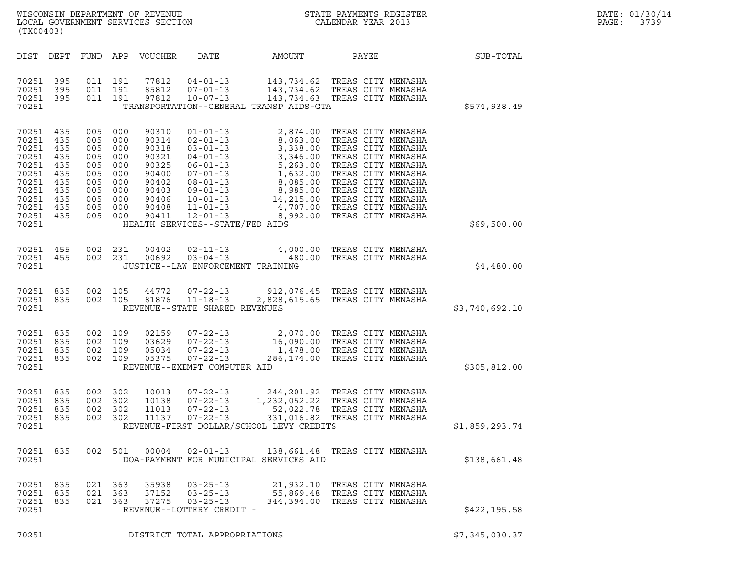| (TX00403)                                                                                                        |                                                             |            |                                                                                                                       |                                                                                                 |                                                                                       |                                          |                                                                                                                                                                                                                                                                                                                                                      |                | DATE: 01/30/14<br>PAGE:<br>3739 |
|------------------------------------------------------------------------------------------------------------------|-------------------------------------------------------------|------------|-----------------------------------------------------------------------------------------------------------------------|-------------------------------------------------------------------------------------------------|---------------------------------------------------------------------------------------|------------------------------------------|------------------------------------------------------------------------------------------------------------------------------------------------------------------------------------------------------------------------------------------------------------------------------------------------------------------------------------------------------|----------------|---------------------------------|
|                                                                                                                  |                                                             |            |                                                                                                                       | DIST DEPT FUND APP VOUCHER                                                                      | DATE                                                                                  | AMOUNT                                   | PAYEE                                                                                                                                                                                                                                                                                                                                                | SUB-TOTAL      |                                 |
| 70251 395<br>70251<br>70251<br>70251                                                                             | 395<br>395                                                  | 011 191    | 011 191<br>011 191                                                                                                    | 77812<br>85812<br>97812                                                                         |                                                                                       | TRANSPORTATION--GENERAL TRANSP AIDS-GTA  | 04-01-13 143,734.62 TREAS CITY MENASHA<br>07-01-13 143,734.62 TREAS CITY MENASHA<br>10-07-13 143,734.63 TREAS CITY MENASHA                                                                                                                                                                                                                           | \$574,938.49   |                                 |
| 70251 435<br>70251<br>70251<br>70251<br>70251<br>70251<br>70251<br>70251<br>70251<br>70251<br>70251 435<br>70251 | 435<br>435<br>435<br>435<br>435<br>435<br>435<br>435<br>435 |            | 005 000<br>005 000<br>005 000<br>005 000<br>005 000<br>005 000<br>005 000<br>005 000<br>005 000<br>005 000<br>005 000 | 90310<br>90314<br>90318<br>90321<br>90325<br>90400<br>90402<br>90403<br>90406<br>90408<br>90411 | $01 - 01 - 13$<br>$11 - 01 - 13$<br>$12 - 01 - 13$<br>HEALTH SERVICES--STATE/FED AIDS | 8,992.00                                 | 2,874.00 TREAS CITY MENASHA<br>02-01-13<br>03-01-13<br>03-01-13<br>03-01-13<br>3,338.00<br>7REAS CITY MENASHA<br>04-01-13<br>3,338.00<br>7REAS CITY MENASHA<br>06-01-13<br>5,263.00<br>7REAS CITY MENASHA<br>07-01-13<br>1,632.00<br>7REAS CITY MENASHA<br>09-01-13<br>8,085.00<br>7REAS CITY M<br>4,707.00 TREAS CITY MENASHA<br>TREAS CITY MENASHA | \$69,500.00    |                                 |
| 70251 455<br>70251 455<br>70251                                                                                  |                                                             | 002 231    | 002 231                                                                                                               | 00402<br>00692                                                                                  | JUSTICE--LAW ENFORCEMENT TRAINING                                                     |                                          | 02-11-13 4,000.00 TREAS CITY MENASHA<br>03-04-13 480.00 TREAS CITY MENASHA                                                                                                                                                                                                                                                                           | \$4,480.00     |                                 |
| 70251 835<br>70251 835<br>70251                                                                                  |                                                             |            | 002 105<br>002 105                                                                                                    | 44772<br>81876                                                                                  | $07 - 22 - 13$<br>$11 - 18 - 13$<br>REVENUE--STATE SHARED REVENUES                    |                                          | 912,076.45 TREAS CITY MENASHA<br>2,828,615.65 TREAS CITY MENASHA                                                                                                                                                                                                                                                                                     | \$3,740,692.10 |                                 |
| 70251 835<br>70251<br>70251 835<br>70251 835<br>70251                                                            | 835                                                         | 002 109    | 002 109<br>002 109<br>002 109                                                                                         | 02159<br>03629<br>05034<br>05375                                                                | $07 - 22 - 13$<br>$07 - 22 - 13$<br>REVENUE--EXEMPT COMPUTER AID                      |                                          | 07-22-13 2,070.00 TREAS CITY MENASHA<br>07-22-13 16,090.00 TREAS CITY MENASHA<br>07-22-12 11-478.00 TREAS CITY MENASHA<br>1,478.00 TREAS CITY MENASHA<br>286,174.00 TREAS CITY MENASHA                                                                                                                                                               | \$305,812.00   |                                 |
| 70251 835<br>70251 835<br>70251 835<br>70251 835<br>70251                                                        |                                                             | 002<br>002 | 002 302<br>002 302<br>302<br>302                                                                                      | 10013<br>10138<br>11013<br>11137                                                                | $07 - 22 - 13$<br>$07 - 22 - 13$<br>$07 - 22 - 13$<br>$07 - 22 - 13$                  | REVENUE-FIRST DOLLAR/SCHOOL LEVY CREDITS | 244,201.92 TREAS CITY MENASHA<br>1,232,052.22 TREAS CITY MENASHA<br>52,022.78 TREAS CITY MENASHA<br>331,016.82 TREAS CITY MENASHA                                                                                                                                                                                                                    | \$1,859,293.74 |                                 |
| 70251 835<br>70251                                                                                               |                                                             |            | 002 501                                                                                                               | 00004                                                                                           | $02 - 01 - 13$                                                                        | DOA-PAYMENT FOR MUNICIPAL SERVICES AID   | 138,661.48 TREAS CITY MENASHA                                                                                                                                                                                                                                                                                                                        | \$138,661.48   |                                 |
| 70251 835<br>70251<br>70251 835<br>70251                                                                         | 835                                                         | 021        | 021 363<br>363<br>021 363                                                                                             | 35938<br>37152<br>37275                                                                         | $03 - 25 - 13$<br>$03 - 25 - 13$<br>$03 - 25 - 13$<br>REVENUE--LOTTERY CREDIT -       |                                          | 21,932.10 TREAS CITY MENASHA<br>55,869.48 TREAS CITY MENASHA<br>344,394.00 TREAS CITY MENASHA                                                                                                                                                                                                                                                        | \$422,195.58   |                                 |
| 70251                                                                                                            |                                                             |            |                                                                                                                       |                                                                                                 | DISTRICT TOTAL APPROPRIATIONS                                                         |                                          |                                                                                                                                                                                                                                                                                                                                                      | \$7,345,030.37 |                                 |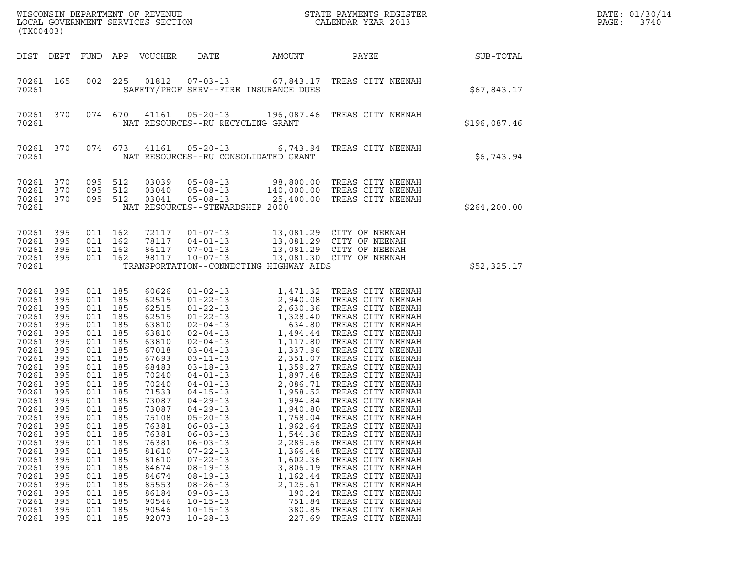| (TX00403)                                                                                                                                                                                                                                                    |                                                                                                                                                                                           |                                                                                                                     |                                                                                                                                                                                                                                              | LOCAL GOVERNMENT SERVICES SECTION                                                                                                                                                                                                                        |                                                                                                                                                                                                                                                                            |                                                                                                                                                                          | ${\tt WISCO} {\tt NSM} {\tt NEMR} {\tt NEMR} {\tt NEMR} {\tt NEMR} {\tt NEMR} {\tt NEMR} {\tt NEMR} {\tt NEMR} {\tt NEMR} {\tt NEMR} {\tt NEMR} {\tt NEMR} {\tt NEMR} {\tt NEMR} {\tt NEMR} {\tt NEMR} {\tt NEMR} {\tt NEMR} {\tt NEMR} {\tt NEMR} {\tt NEMR} {\tt NEMR} {\tt NEMR} {\tt NEMR} {\tt NEMR} {\tt NEMR} {\tt NEMR} {\tt NEMR} {\tt NEMR} {\tt NEMR} {\tt NEMR} {\tt NEMR} {\tt NEMR} {\tt NEMR} {\tt NEMR}$                                                                                                                                                                    |               | DATE: 01/30/14<br>PAGE:<br>3740 |
|--------------------------------------------------------------------------------------------------------------------------------------------------------------------------------------------------------------------------------------------------------------|-------------------------------------------------------------------------------------------------------------------------------------------------------------------------------------------|---------------------------------------------------------------------------------------------------------------------|----------------------------------------------------------------------------------------------------------------------------------------------------------------------------------------------------------------------------------------------|----------------------------------------------------------------------------------------------------------------------------------------------------------------------------------------------------------------------------------------------------------|----------------------------------------------------------------------------------------------------------------------------------------------------------------------------------------------------------------------------------------------------------------------------|--------------------------------------------------------------------------------------------------------------------------------------------------------------------------|---------------------------------------------------------------------------------------------------------------------------------------------------------------------------------------------------------------------------------------------------------------------------------------------------------------------------------------------------------------------------------------------------------------------------------------------------------------------------------------------------------------------------------------------------------------------------------------------|---------------|---------------------------------|
| DIST DEPT                                                                                                                                                                                                                                                    |                                                                                                                                                                                           |                                                                                                                     |                                                                                                                                                                                                                                              | FUND APP VOUCHER                                                                                                                                                                                                                                         | DATE                                                                                                                                                                                                                                                                       | AMOUNT                                                                                                                                                                   | PAYEE                                                                                                                                                                                                                                                                                                                                                                                                                                                                                                                                                                                       | SUB-TOTAL     |                                 |
| 70261 165<br>70261                                                                                                                                                                                                                                           |                                                                                                                                                                                           | 002                                                                                                                 | 225                                                                                                                                                                                                                                          |                                                                                                                                                                                                                                                          | SAFETY/PROF SERV--FIRE INSURANCE DUES                                                                                                                                                                                                                                      |                                                                                                                                                                          | 01812  07-03-13  67,843.17  TREAS CITY NEENAH                                                                                                                                                                                                                                                                                                                                                                                                                                                                                                                                               | \$67,843.17   |                                 |
| 70261<br>70261                                                                                                                                                                                                                                               | 370                                                                                                                                                                                       |                                                                                                                     | 074 670                                                                                                                                                                                                                                      |                                                                                                                                                                                                                                                          | NAT RESOURCES--RU RECYCLING GRANT                                                                                                                                                                                                                                          |                                                                                                                                                                          | 41161  05-20-13  196,087.46  TREAS CITY NEENAH                                                                                                                                                                                                                                                                                                                                                                                                                                                                                                                                              | \$196,087.46  |                                 |
| 70261<br>70261                                                                                                                                                                                                                                               | 370                                                                                                                                                                                       |                                                                                                                     | 074 673                                                                                                                                                                                                                                      |                                                                                                                                                                                                                                                          | 41161  05-20-13<br>NAT RESOURCES--RU CONSOLIDATED GRANT                                                                                                                                                                                                                    |                                                                                                                                                                          | 6,743.94 TREAS CITY NEENAH                                                                                                                                                                                                                                                                                                                                                                                                                                                                                                                                                                  | \$6,743.94    |                                 |
| 70261<br>70261<br>70261 370<br>70261                                                                                                                                                                                                                         | 370<br>370                                                                                                                                                                                |                                                                                                                     | 095 512<br>095 512<br>095 512                                                                                                                                                                                                                | 03039<br>03040<br>03041                                                                                                                                                                                                                                  | $05 - 08 - 13$<br>$05 - 08 - 13$<br>$05 - 08 - 13$<br>NAT RESOURCES--STEWARDSHIP 2000                                                                                                                                                                                      |                                                                                                                                                                          | 98,800.00 TREAS CITY NEENAH<br>140,000.00 TREAS CITY NEENAH<br>25,400.00 TREAS CITY NEENAH                                                                                                                                                                                                                                                                                                                                                                                                                                                                                                  | \$264, 200.00 |                                 |
| 70261 395<br>70261<br>70261 395<br>70261 395<br>70261                                                                                                                                                                                                        | 395                                                                                                                                                                                       |                                                                                                                     | 011 162<br>011 162<br>011 162<br>011 162                                                                                                                                                                                                     | 72117<br>78117<br>86117<br>98117                                                                                                                                                                                                                         | $01 - 07 - 13$<br>TRANSPORTATION--CONNECTING HIGHWAY AIDS                                                                                                                                                                                                                  |                                                                                                                                                                          | 13,081.29 CITY OF NEENAH<br>04-01-13 13,081.29 CITY OF NEENAH<br>07-01-13 13,081.29 CITY OF NEENAH<br>10-07-13 13,081.30 CITY OF NEENAH                                                                                                                                                                                                                                                                                                                                                                                                                                                     | \$52,325.17   |                                 |
| 70261<br>70261<br>70261<br>70261<br>70261<br>70261<br>70261<br>70261<br>70261<br>70261<br>70261<br>70261<br>70261<br>70261 395<br>70261<br>70261<br>70261<br>70261<br>70261<br>70261<br>70261<br>70261<br>70261<br>70261<br>70261<br>70261<br>70261<br>70261 | 395<br>395<br>395<br>395<br>395<br>395<br>395<br>395<br>395<br>395<br>395<br>395<br>395<br>395<br>395<br>395<br>395<br>395<br>395<br>395<br>395<br>395<br>395<br>395<br>395<br>395<br>395 | 011<br>011<br>011<br>011<br>011<br>011<br>011<br>011<br>011<br>011<br>011<br>011<br>011<br>011<br>011<br>011<br>011 | 011 185<br>011 185<br>011 185<br>011 185<br>185<br>011 185<br>011 185<br>011 185<br>011 185<br>011 185<br>011 185<br>011 185<br>185<br>185<br>185<br>185<br>185<br>185<br>185<br>185<br>185<br>185<br>185<br>185<br>185<br>185<br>185<br>185 | 60626<br>62515<br>62515<br>62515<br>63810<br>63810<br>63810<br>67018<br>67693<br>68483<br>70240<br>70240<br>71533<br>73087<br>73087<br>75108<br>76381<br>76381<br>76381<br>81610<br>81610<br>84674<br>84674<br>85553<br>86184<br>90546<br>90546<br>92073 | $04 - 29 - 13$<br>$04 - 29 - 13$<br>$05 - 20 - 13$<br>$06 - 03 - 13$<br>$06 - 03 - 13$<br>$06 - 03 - 13$<br>$07 - 22 - 13$<br>$07 - 22 - 13$<br>$08 - 19 - 13$<br>$08 - 19 - 13$<br>$08 - 26 - 13$<br>$09 - 03 - 13$<br>$10 - 15 - 13$<br>$10 - 15 - 13$<br>$10 - 28 - 13$ | 1,994.84<br>1,940.80<br>1,758.04<br>1,962.64<br>1,544.36<br>2,289.56<br>1,366.48<br>1,602.36<br>3,806.19<br>1,162.44<br>2,125.61<br>190.24<br>751.84<br>380.85<br>227.69 | 01-02-13<br>01-22-13<br>2,940.08<br>TREAS CITY NEENAH<br>01-22-13<br>2,630.36<br>TREAS CITY NEENAH<br>01-22-13<br>1,328.40<br>TREAS CITY NEENAH<br>02-04-13<br>1,494.44<br>TREAS CITY NEENAH<br>02-04-13<br>1,117.80<br>TREAS CITY NEENAH<br>03-04-13<br>1,117.8<br>TREAS CITY NEENAH<br>TREAS CITY NEENAH<br>TREAS CITY NEENAH<br>TREAS CITY NEENAH<br>TREAS CITY NEENAH<br>TREAS CITY NEENAH<br>TREAS CITY NEENAH<br>TREAS CITY NEENAH<br>TREAS CITY NEENAH<br>TREAS CITY NEENAH<br>TREAS CITY NEENAH<br>TREAS CITY NEENAH<br>TREAS CITY NEENAH<br>TREAS CITY NEENAH<br>TREAS CITY NEENAH |               |                                 |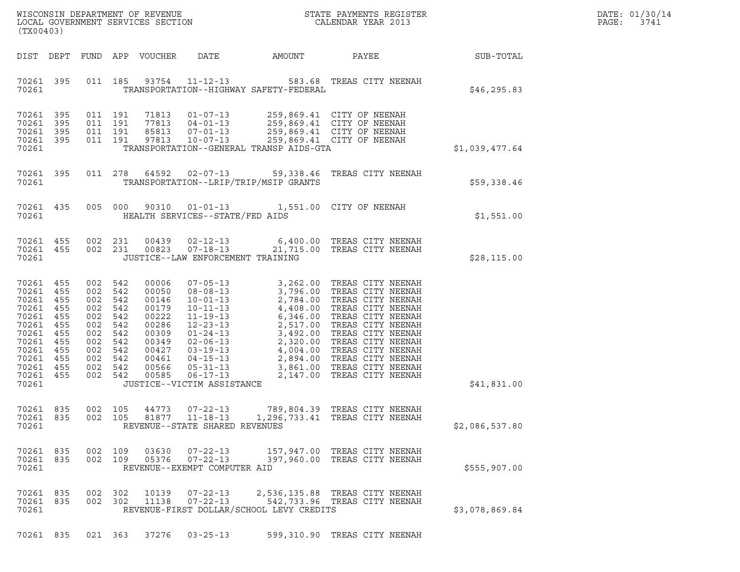| DATE: | 01/30/14 |
|-------|----------|
| PAGE: | 3741     |

| (TX00403)                                                                                                                                                         |                                                                                                                                                                                                                                                                                       |                 | DATE: 01/30/14<br>$\mathtt{PAGE:}$<br>3741 |
|-------------------------------------------------------------------------------------------------------------------------------------------------------------------|---------------------------------------------------------------------------------------------------------------------------------------------------------------------------------------------------------------------------------------------------------------------------------------|-----------------|--------------------------------------------|
|                                                                                                                                                                   | DIST DEPT FUND APP VOUCHER DATE<br>AMOUNT                                                                                                                                                                                                                                             | PAYEE SUB-TOTAL |                                            |
| 70261 395<br>70261                                                                                                                                                | 011 185 93754 11-12-13 583.68 TREAS CITY NEENAH<br>TRANSPORTATION--HIGHWAY SAFETY-FEDERAL                                                                                                                                                                                             | \$46,295.83     |                                            |
| 70261 395<br>70261<br>395<br>70261 395<br>70261 395<br>70261                                                                                                      | 71813  01-07-13  259,869.41  CITY OF NEENAH<br>77813  04-01-13  259,869.41  CITY OF NEENAH<br>85813  07-01-13  259,869.41  CITY OF NEENAH<br>97813  10-07-13  259,869.41  CITY OF NEENAH<br>011 191<br>011 191<br>011 191<br>011 191 97813<br>TRANSPORTATION--GENERAL TRANSP AIDS-GTA | \$1,039,477.64  |                                            |
| 70261 395<br>70261                                                                                                                                                | 011 278 64592 02-07-13 59,338.46 TREAS CITY NEENAH<br>TRANSPORTATION--LRIP/TRIP/MSIP GRANTS                                                                                                                                                                                           | \$59,338.46     |                                            |
| 70261 435<br>70261                                                                                                                                                | 005 000 90310 01-01-13 1,551.00 CITY OF NEENAH<br>HEALTH SERVICES--STATE/FED AIDS                                                                                                                                                                                                     | \$1,551.00      |                                            |
| 70261 455<br>70261 455<br>70261                                                                                                                                   | 002  231  00439  02-12-13   6,400.00 TREAS CITY NEENAH<br>002  231  00823  07-18-13   21,715.00 TREAS CITY NEENAH<br>JUSTICE--LAW ENFORCEMENT TRAINING                                                                                                                                | \$28,115.00     |                                            |
| 70261 455<br>70261 455<br>70261 455<br>70261 455<br>70261 455<br>70261 455<br>70261 455<br>70261 455<br>70261 455<br>70261 455<br>70261 455<br>70261 455<br>70261 | 002 542<br>00006<br>002 542<br>00050<br>002 542<br>00146<br>002 542<br>00179<br>002 542<br>00222<br>002 542<br>00286<br>002 542<br>00309<br>002 542<br>00349<br>002 542<br>00427<br>002 542<br>00461<br>002 542<br>00566<br>002 542<br>00585<br>JUSTICE--VICTIM ASSISTANCE            | \$41,831.00     |                                            |
| 70261 835<br>70261 835<br>70261                                                                                                                                   | 002 105<br>44773<br>$07 - 22 - 13$<br>789,804.39   TREAS CITY NEENAH<br>002 105<br>81877<br>$11 - 18 - 13$<br>1,296,733.41 TREAS CITY NEENAH<br>REVENUE--STATE SHARED REVENUES                                                                                                        | \$2,086,537.80  |                                            |
| 70261 835<br>70261 835<br>70261                                                                                                                                   | 03630<br>$07 - 22 - 13$<br>157,947.00 TREAS CITY NEENAH<br>002 109<br>05376<br>$07 - 22 - 13$<br>002 109<br>397,960.00 TREAS CITY NEENAH<br>REVENUE--EXEMPT COMPUTER AID                                                                                                              | \$555, 907.00   |                                            |
| 70261 835<br>70261 835<br>70261                                                                                                                                   | 002 302<br>10139<br>$07 - 22 - 13$<br>2,536,135.88 TREAS CITY NEENAH<br>11138<br>$07 - 22 - 13$<br>002 302<br>542,733.96 TREAS CITY NEENAH<br>REVENUE-FIRST DOLLAR/SCHOOL LEVY CREDITS                                                                                                | \$3,078,869.84  |                                            |
| 70261 835                                                                                                                                                         | 37276<br>$03 - 25 - 13$<br>599,310.90 TREAS CITY NEENAH<br>021 363                                                                                                                                                                                                                    |                 |                                            |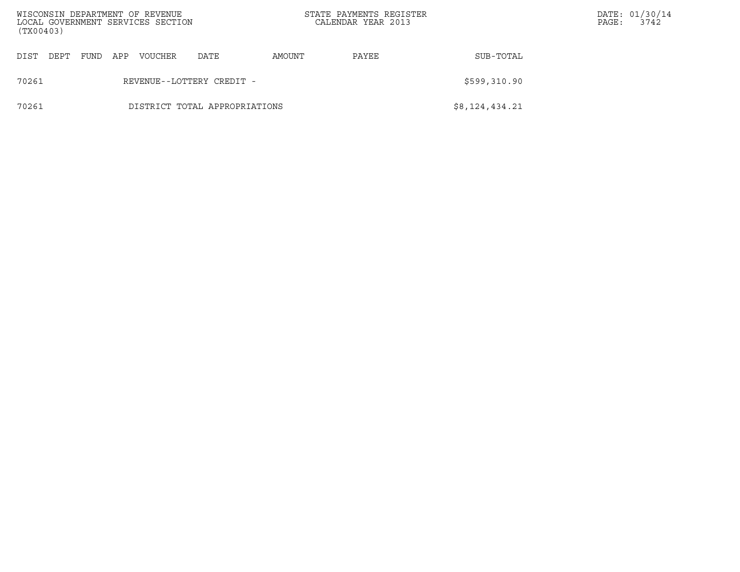| (TX00403) |      |      |     | WISCONSIN DEPARTMENT OF REVENUE<br>LOCAL GOVERNMENT SERVICES SECTION |                               |        | STATE PAYMENTS REGISTER<br>CALENDAR YEAR 2013 |                | PAGE: | DATE: 01/30/14<br>3742 |
|-----------|------|------|-----|----------------------------------------------------------------------|-------------------------------|--------|-----------------------------------------------|----------------|-------|------------------------|
| DIST      | DEPT | FUND | APP | VOUCHER                                                              | DATE                          | AMOUNT | PAYEE                                         | SUB-TOTAL      |       |                        |
| 70261     |      |      |     |                                                                      | REVENUE--LOTTERY CREDIT -     |        |                                               | \$599,310.90   |       |                        |
| 70261     |      |      |     |                                                                      | DISTRICT TOTAL APPROPRIATIONS |        |                                               | \$8,124,434.21 |       |                        |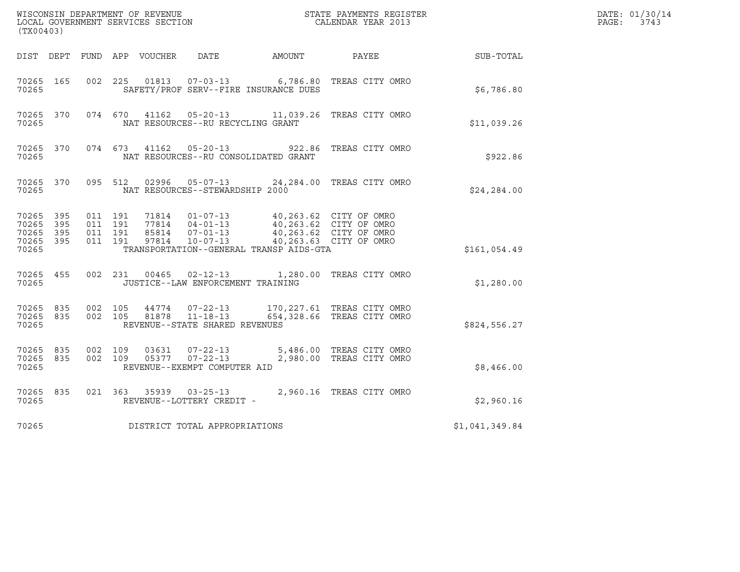| (TX00403)                                |                  |                               |         |       |                                                                    |                                                                                                                                                                          | $\tt WISCONSIM DEPARTMENT OF REVENUE$ $\tt TOCAL EONDRNENTS REGISTER$<br>LOCAL GOVERNMENT SERVICES SECTION<br>$\tt CALENDAR YEAR$<br>2013 |                  | DATE: 01/30/14<br>PAGE: 3743 |
|------------------------------------------|------------------|-------------------------------|---------|-------|--------------------------------------------------------------------|--------------------------------------------------------------------------------------------------------------------------------------------------------------------------|-------------------------------------------------------------------------------------------------------------------------------------------|------------------|------------------------------|
|                                          |                  |                               |         |       |                                                                    | DIST DEPT FUND APP VOUCHER DATE AMOUNT                                                                                                                                   | PAYEE                                                                                                                                     | <b>SUB-TOTAL</b> |                              |
| 70265 165<br>70265                       |                  | 002 225                       |         | 01813 |                                                                    | SAFETY/PROF SERV--FIRE INSURANCE DUES                                                                                                                                    | 07-03-13 6,786.80 TREAS CITY OMRO                                                                                                         | \$6,786.80       |                              |
| 70265 370<br>70265                       |                  |                               |         |       | NAT RESOURCES--RU RECYCLING GRANT                                  |                                                                                                                                                                          | 074 670 41162 05-20-13 11,039.26 TREAS CITY OMRO                                                                                          | \$11,039.26      |                              |
| 70265                                    | 70265 370        |                               |         |       | 074 673 41162 05-20-13                                             | NAT RESOURCES--RU CONSOLIDATED GRANT                                                                                                                                     | 922.86 TREAS CITY OMRO                                                                                                                    | \$922.86         |                              |
| 70265 370<br>70265                       |                  | 095 512                       |         |       | NAT RESOURCES--STEWARDSHIP 2000                                    |                                                                                                                                                                          | 02996  05-07-13  24,284.00 TREAS CITY OMRO                                                                                                | \$24,284.00      |                              |
| 70265 395<br>70265<br>70265 395<br>70265 | 395<br>70265 395 | 011 191<br>011 191<br>011 191 | 011 191 |       |                                                                    | 77814 04-01-13 40,263.62 CITY OF OMRO<br>85814  07-01-13  40,263.62  CITY OF OMRO<br>97814  10-07-13  40,263.63  CITY OF OMRO<br>TRANSPORTATION--GENERAL TRANSP AIDS-GTA | 40,263.62 CITY OF OMRO                                                                                                                    | \$161,054.49     |                              |
| 70265                                    | 70265 455        |                               |         |       | JUSTICE--LAW ENFORCEMENT TRAINING                                  |                                                                                                                                                                          | 002  231  00465  02-12-13  1,280.00  TREAS CITY OMRO                                                                                      | \$1,280.00       |                              |
| 70265 835<br>70265 835<br>70265          |                  | 002 105                       | 002 105 | 81878 | 44774 07-22-13<br>$11 - 18 - 13$<br>REVENUE--STATE SHARED REVENUES |                                                                                                                                                                          | 170,227.61 TREAS CITY OMRO<br>654,328.66 TREAS CITY OMRO                                                                                  | \$824,556.27     |                              |
| 70265 835<br>70265 835<br>70265          |                  | 002 109<br>002 109            |         | 03631 | $07 - 22 - 13$<br>REVENUE--EXEMPT COMPUTER AID                     |                                                                                                                                                                          | 5,486.00 TREAS CITY OMRO<br>05377  07-22-13  2,980.00 TREAS CITY OMRO                                                                     | \$8,466.00       |                              |
| 70265 835<br>70265                       |                  |                               |         |       | REVENUE--LOTTERY CREDIT -                                          |                                                                                                                                                                          | 021 363 35939 03-25-13 2,960.16 TREAS CITY OMRO                                                                                           | \$2,960.16       |                              |
| 70265                                    |                  |                               |         |       | DISTRICT TOTAL APPROPRIATIONS                                      |                                                                                                                                                                          |                                                                                                                                           | \$1,041,349.84   |                              |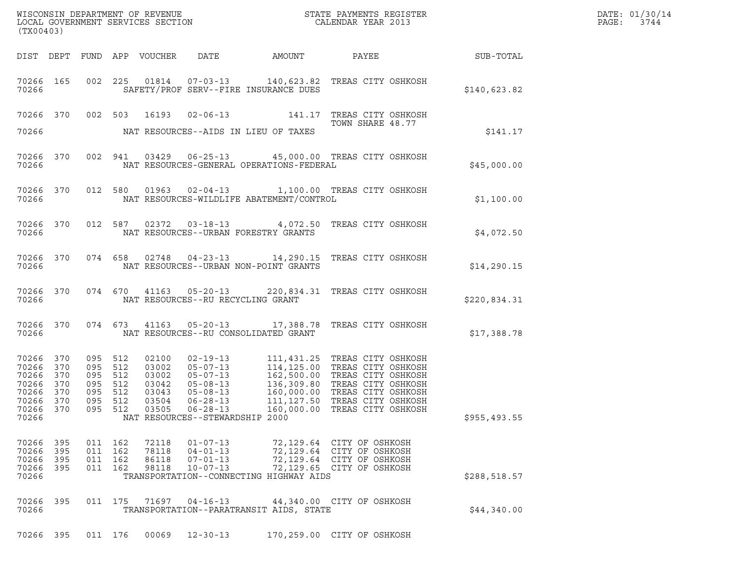| DATE: | 01/30/14 |
|-------|----------|
| PAGF: | 3744     |

| (TX00403) |                                                                                         |         |                                                                           |                                                             |                                                    |                                             | DATE: 01/30/14<br>PAGE: 3744                                                                                                                                                                                                                                                                                              |               |  |
|-----------|-----------------------------------------------------------------------------------------|---------|---------------------------------------------------------------------------|-------------------------------------------------------------|----------------------------------------------------|---------------------------------------------|---------------------------------------------------------------------------------------------------------------------------------------------------------------------------------------------------------------------------------------------------------------------------------------------------------------------------|---------------|--|
|           |                                                                                         |         |                                                                           |                                                             |                                                    |                                             |                                                                                                                                                                                                                                                                                                                           |               |  |
|           | 70266 300                                                                               |         |                                                                           |                                                             |                                                    | SAFETY/PROF SERV--FIRE INSURANCE DUES       | 70266 165 002 225 01814 07-03-13 140,623.82 TREAS CITY OSHKOSH                                                                                                                                                                                                                                                            | \$140,623.82  |  |
|           |                                                                                         |         |                                                                           |                                                             |                                                    | 70266 NAT RESOURCES--AIDS IN LIEU OF TAXES  | 70266 370 002 503 16193 02-06-13 141.17 TREAS CITY OSHKOSH<br>TOWN SHARE 48.77                                                                                                                                                                                                                                            | \$141.17      |  |
|           |                                                                                         |         |                                                                           |                                                             |                                                    |                                             | 70266 370 002 941 03429 06-25-13 45,000.00 TREAS CITY OSHKOSH<br>70266 NAT RESOURCES-GENERAL OPERATIONS-FEDERAL                                                                                                                                                                                                           | \$45,000.00   |  |
|           |                                                                                         |         |                                                                           |                                                             |                                                    |                                             | 70266 370 012 580 01963 02-04-13 1,100.00 TREAS CITY OSHKOSH                                                                                                                                                                                                                                                              | \$1,100.00    |  |
|           |                                                                                         |         |                                                                           |                                                             |                                                    | 70266 MAT RESOURCES--URBAN FORESTRY GRANTS  | 70266 370 012 587 02372 03-18-13 4,072.50 TREAS CITY OSHKOSH                                                                                                                                                                                                                                                              | \$4,072.50    |  |
|           |                                                                                         |         |                                                                           |                                                             |                                                    | 70266 NAT RESOURCES--URBAN NON-POINT GRANTS | 70266 370 074 658 02748 04-23-13 14,290.15 TREAS CITY OSHKOSH                                                                                                                                                                                                                                                             | \$14,290.15   |  |
|           |                                                                                         |         |                                                                           |                                                             |                                                    | 70266 NAT RESOURCES--RU RECYCLING GRANT     | 70266 370 074 670 41163 05-20-13 220,834.31 TREAS CITY OSHKOSH                                                                                                                                                                                                                                                            | \$220,834.31  |  |
|           |                                                                                         |         |                                                                           |                                                             |                                                    | 70266 NAT RESOURCES--RU CONSOLIDATED GRANT  | 70266 370 074 673 41163 05-20-13 17,388.78 TREAS CITY OSHKOSH                                                                                                                                                                                                                                                             | \$17,388.78   |  |
| 70266     | 70266 370<br>70266 370<br>70266 370<br>70266 370<br>70266 370<br>70266 370<br>70266 370 |         | 095 512<br>095 512<br>095 512<br>095 512<br>095 512<br>095 512<br>095 512 | 02100<br>03002<br>03002<br>03042<br>03043<br>03504<br>03505 | $06 - 28 - 13$<br>NAT RESOURCES--STEWARDSHIP 2000  |                                             | 02-19-13 111,431.25 TREAS CITY OSHKOSH<br>05-07-13 114,125.00 TREAS CITY OSHKOSH<br>05-07-13 162,500.00 TREAS CITY OSHKOSH<br>05-08-13 136,309.80 TREAS CITY OSHKOSH<br>05-08-13 106,000.00 TREAS CITY OSHKOSH<br>06-28-13 111.127.50 TREAS C<br>111, 127.50 TREAS CITY OSHKOSH<br>06-28-13 160,000.00 TREAS CITY OSHKOSH | \$955, 493.55 |  |
|           | 70266 395<br>70266 395<br>70266 395                                                     |         | 011 162<br>011 162<br>011 162                                             | 72118<br>78118<br>86118                                     | $01 - 07 - 13$<br>$04 - 01 - 13$<br>$07 - 01 - 13$ |                                             | 72,129.64 CITY OF OSHKOSH<br>72,129.64 CITY OF OSHKOSH<br>72,129.64 CITY OF OSHKOSH                                                                                                                                                                                                                                       |               |  |
| 70266     | 70266 395                                                                               |         | 011 162                                                                   | 98118                                                       | $10 - 07 - 13$                                     | TRANSPORTATION--CONNECTING HIGHWAY AIDS     | 72,129.65 CITY OF OSHKOSH                                                                                                                                                                                                                                                                                                 | \$288,518.57  |  |
| 70266     | 70266 395                                                                               |         | 011 175                                                                   | 71697                                                       | $04 - 16 - 13$                                     | TRANSPORTATION--PARATRANSIT AIDS, STATE     | 44,340.00 CITY OF OSHKOSH                                                                                                                                                                                                                                                                                                 | \$44,340.00   |  |
|           | 70266 395                                                                               | 011 176 |                                                                           | 00069                                                       | $12 - 30 - 13$                                     |                                             | 170,259.00 CITY OF OSHKOSH                                                                                                                                                                                                                                                                                                |               |  |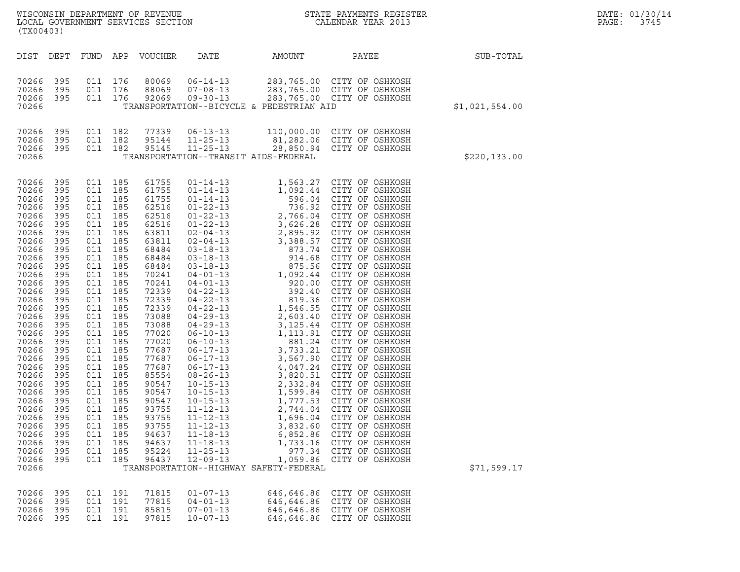| ${\tt WISCO} {\tt NSM} {\tt NEMR} {\tt NEMR} {\tt NEMR} {\tt NEMR} {\tt NEMR} {\tt NEMR} {\tt NEMR} {\tt NEMR} {\tt NEMR} {\tt NEMR} {\tt NEMR} {\tt NEMR} {\tt NEMR} {\tt NEMR} {\tt NEMR} {\tt NEMR} {\tt NEMR} {\tt NEMR} {\tt NEMR} {\tt NEMR} {\tt NEMR} {\tt NEMR} {\tt NEMR} {\tt NEMR} {\tt NEMR} {\tt NEMR} {\tt NEMR} {\tt NEMR} {\tt NEMR} {\tt NEMR} {\tt NEMR} {\tt NEMR} {\tt NEMR} {\tt NEMR} {\tt NEMR}$<br>LOCAL GOVERNMENT SERVICES SECTION<br>(TX00403) |                                                                                                                                                                                                                                            |                          |                                                                                                                                                                                                                                                                                                                                                                    |                                                                                                                                                                                                                                                                                                                |                                                                                                                                                                |                                                                                                                                                                  |                                                                                                                                                      |                | DATE: 01/30/14<br>PAGE:<br>3745 |
|----------------------------------------------------------------------------------------------------------------------------------------------------------------------------------------------------------------------------------------------------------------------------------------------------------------------------------------------------------------------------------------------------------------------------------------------------------------------------|--------------------------------------------------------------------------------------------------------------------------------------------------------------------------------------------------------------------------------------------|--------------------------|--------------------------------------------------------------------------------------------------------------------------------------------------------------------------------------------------------------------------------------------------------------------------------------------------------------------------------------------------------------------|----------------------------------------------------------------------------------------------------------------------------------------------------------------------------------------------------------------------------------------------------------------------------------------------------------------|----------------------------------------------------------------------------------------------------------------------------------------------------------------|------------------------------------------------------------------------------------------------------------------------------------------------------------------|------------------------------------------------------------------------------------------------------------------------------------------------------|----------------|---------------------------------|
| DIST                                                                                                                                                                                                                                                                                                                                                                                                                                                                       | DEPT                                                                                                                                                                                                                                       | FUND APP                 |                                                                                                                                                                                                                                                                                                                                                                    | VOUCHER                                                                                                                                                                                                                                                                                                        | DATE                                                                                                                                                           | AMOUNT                                                                                                                                                           | PAYEE                                                                                                                                                | SUB-TOTAL      |                                 |
| 70266<br>70266<br>70266<br>70266                                                                                                                                                                                                                                                                                                                                                                                                                                           | 395<br>395<br>395                                                                                                                                                                                                                          |                          | 011 176<br>011 176<br>011 176                                                                                                                                                                                                                                                                                                                                      | 80069<br>88069<br>92069                                                                                                                                                                                                                                                                                        | $06 - 14 - 13$<br>$07 - 08 - 13$<br>$09 - 30 - 13$                                                                                                             | TRANSPORTATION--BICYCLE & PEDESTRIAN AID                                                                                                                         | 283,765.00 СІТҮ ОҒ ОSHKOSH<br>283,765.00 СІТҮ ОҒ ОSHKOSH<br>283,765.00 СІТҮ ОҒ ОSНКОЗН                                                               | \$1,021,554.00 |                                 |
| 70266<br>70266<br>70266<br>70266                                                                                                                                                                                                                                                                                                                                                                                                                                           | 395<br>395<br>- 395                                                                                                                                                                                                                        |                          | 011 182<br>011 182<br>011 182                                                                                                                                                                                                                                                                                                                                      | 77339<br>95144<br>95145                                                                                                                                                                                                                                                                                        | $06 - 13 - 13$<br>$11 - 25 - 13$<br>$11 - 25 - 13$                                                                                                             | 81,282.06 CITY OF OSHKOSH<br>TRANSPORTATION--TRANSIT AIDS-FEDERAL                                                                                                | 110,000.00 CITY OF OSHKOSH<br>28,850.94 CITY OF OSHKOSH                                                                                              | \$220,133.00   |                                 |
| 70266<br>70266<br>70266<br>70266<br>70266<br>70266<br>70266<br>70266<br>70266<br>70266<br>70266<br>70266<br>70266<br>70266<br>70266<br>70266<br>70266<br>70266<br>70266<br>70266<br>70266<br>70266<br>70266<br>70266<br>70266<br>70266<br>70266<br>70266<br>70266<br>70266<br>70266<br>70266<br>70266<br>70266<br>70266                                                                                                                                                    | 395<br>395<br>395<br>395<br>395<br>395<br>395<br>395<br>395<br>395<br>395<br>395<br>395<br>395<br>395<br>395<br>395<br>395<br>395<br>395<br>395<br>395<br>395<br>395<br>395<br>395<br>395<br>395<br>395<br>395<br>395<br>395<br>395<br>395 | 011<br>011<br>011<br>011 | 011 185<br>011 185<br>011 185<br>011 185<br>011 185<br>011 185<br>011 185<br>011 185<br>011 185<br>011 185<br>011 185<br>011 185<br>011 185<br>011 185<br>011 185<br>011 185<br>011 185<br>011 185<br>011 185<br>011 185<br>011 185<br>011 185<br>011 185<br>011 185<br>011 185<br>011 185<br>011 185<br>185<br>185<br>185<br>011 185<br>185<br>011 185<br>011 185 | 61755<br>61755<br>61755<br>62516<br>62516<br>62516<br>63811<br>63811<br>68484<br>68484<br>68484<br>70241<br>70241<br>72339<br>72339<br>72339<br>73088<br>73088<br>77020<br>77020<br>77687<br>77687<br>77687<br>85554<br>90547<br>90547<br>90547<br>93755<br>93755<br>93755<br>94637<br>94637<br>95224<br>96437 | $01 - 14 - 13$<br>$10 - 15 - 13$<br>$11 - 12 - 13$<br>$11 - 12 - 13$<br>$11 - 12 - 13$<br>$11 - 18 - 13$<br>$11 - 18 - 13$<br>$11 - 25 - 13$<br>$12 - 09 - 13$ | 1,563.27 CITY OF OSHKOSH<br>1,777.53<br>2,744.04<br>1,696.04<br>3,832.60<br>6,852.86<br>1,733.16<br>977.34<br>1,059.86<br>TRANSPORTATION--HIGHWAY SAFETY-FEDERAL | CITY OF OSHKOSH<br>CITY OF OSHKOSH<br>CITY OF OSHKOSH<br>CITY OF OSHKOSH<br>CITY OF OSHKOSH<br>CITY OF OSHKOSH<br>CITY OF OSHKOSH<br>CITY OF OSHKOSH | \$71,599.17    |                                 |
| 70266<br>70266<br>70266<br>70266                                                                                                                                                                                                                                                                                                                                                                                                                                           | 395<br>395<br>395<br>395                                                                                                                                                                                                                   |                          | 011 191<br>011 191<br>011 191<br>011 191                                                                                                                                                                                                                                                                                                                           | 71815<br>77815<br>85815<br>97815                                                                                                                                                                                                                                                                               | $01 - 07 - 13$<br>$04 - 01 - 13$<br>$07 - 01 - 13$<br>$10 - 07 - 13$                                                                                           | 646,646.86<br>646,646.86<br>646,646.86<br>646,646.86                                                                                                             | CITY OF OSHKOSH<br>CITY OF OSHKOSH<br>CITY OF OSHKOSH<br>CITY OF OSHKOSH                                                                             |                |                                 |